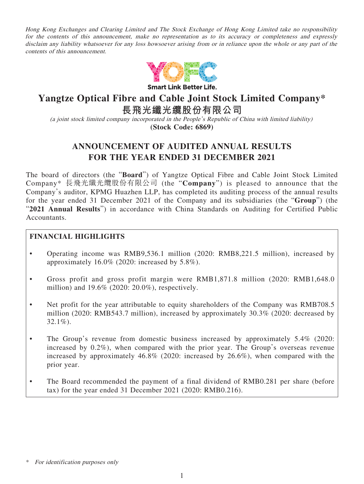Hong Kong Exchanges and Clearing Limited and The Stock Exchange of Hong Kong Limited take no responsibility for the contents of this announcement, make no representation as to its accuracy or completeness and expressly disclaim any liability whatsoever for any loss howsoever arising from or in reliance upon the whole or any part of the contents of this announcement.



**Smart Link Better Life.** 

# **Yangtze Optical Fibre and Cable Joint Stock Limited Company\***

**長飛光纖光纜股份有限公司**

(a joint stock limited company incorporated in the People's Republic of China with limited liability)

**(Stock Code: 6869)**

# **ANNOUNCEMENT OF AUDITED ANNUAL RESULTS FOR THE YEAR ENDED 31 DECEMBER 2021**

The board of directors (the "**Board**") of Yangtze Optical Fibre and Cable Joint Stock Limited Company\* 長飛光纖光纜股份有限公司 (the "**Company**") is pleased to announce that the Company's auditor, KPMG Huazhen LLP, has completed its auditing process of the annual results for the year ended 31 December 2021 of the Company and its subsidiaries (the "**Group**") (the "**2021 Annual Results**") in accordance with China Standards on Auditing for Certified Public Accountants.

# **FINANCIAL HIGHLIGHTS**

- Operating income was RMB9,536.1 million (2020: RMB8,221.5 million), increased by approximately 16.0% (2020: increased by 5.8%).
- Gross profit and gross profit margin were RMB1,871.8 million (2020: RMB1,648.0 million) and 19.6% (2020: 20.0%), respectively.
- Net profit for the year attributable to equity shareholders of the Company was RMB708.5 million (2020: RMB543.7 million), increased by approximately 30.3% (2020: decreased by  $32.1\%$ ).
- The Group's revenue from domestic business increased by approximately 5.4% (2020: increased by  $0.2\%$ ), when compared with the prior year. The Group's overseas revenue increased by approximately 46.8% (2020: increased by 26.6%), when compared with the prior year.
- The Board recommended the payment of a final dividend of RMB0.281 per share (before tax) for the year ended 31 December 2021 (2020: RMB0.216).

<sup>\*</sup> For identification purposes only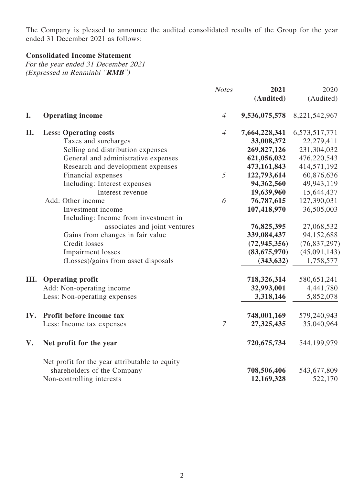The Company is pleased to announce the audited consolidated results of the Group for the year ended 31 December 2021 as follows:

# **Consolidated Income Statement**

For the year ended 31 December 2021 (Expressed in Renminbi "**RMB**")

|      |                                                | <b>Notes</b>   | 2021           | 2020           |
|------|------------------------------------------------|----------------|----------------|----------------|
|      |                                                |                | (Audited)      | (Audited)      |
| I.   | <b>Operating income</b>                        | $\overline{4}$ | 9,536,075,578  | 8,221,542,967  |
| II.  | <b>Less: Operating costs</b>                   | $\overline{4}$ | 7,664,228,341  | 6,573,517,771  |
|      | Taxes and surcharges                           |                | 33,008,372     | 22,279,411     |
|      | Selling and distribution expenses              |                | 269,827,126    | 231,304,032    |
|      | General and administrative expenses            |                | 621,056,032    | 476,220,543    |
|      | Research and development expenses              |                | 473,161,843    | 414,571,192    |
|      | Financial expenses                             | $\mathfrak{I}$ | 122,793,614    | 60,876,636     |
|      | Including: Interest expenses                   |                | 94,362,560     | 49,943,119     |
|      | Interest revenue                               |                | 19,639,960     | 15,644,437     |
|      | Add: Other income                              | 6              | 76,787,615     | 127,390,031    |
|      | Investment income                              |                | 107,418,970    | 36,505,003     |
|      | Including: Income from investment in           |                |                |                |
|      | associates and joint ventures                  |                | 76,825,395     | 27,068,532     |
|      | Gains from changes in fair value               |                | 339,084,437    | 94,152,688     |
|      | Credit losses                                  |                | (72, 945, 356) | (76, 837, 297) |
|      | <b>Impairment</b> losses                       |                | (83, 675, 970) | (45,091,143)   |
|      | (Losses)/gains from asset disposals            |                | (343, 632)     | 1,758,577      |
| III. | <b>Operating profit</b>                        |                | 718,326,314    | 580,651,241    |
|      | Add: Non-operating income                      |                | 32,993,001     | 4,441,780      |
|      | Less: Non-operating expenses                   |                | 3,318,146      | 5,852,078      |
| IV.  | Profit before income tax                       |                | 748,001,169    | 579,240,943    |
|      | Less: Income tax expenses                      | $\overline{7}$ | 27,325,435     | 35,040,964     |
| V.   | Net profit for the year                        |                | 720,675,734    | 544,199,979    |
|      | Net profit for the year attributable to equity |                |                |                |
|      | shareholders of the Company                    |                | 708,506,406    | 543,677,809    |
|      | Non-controlling interests                      |                | 12,169,328     | 522,170        |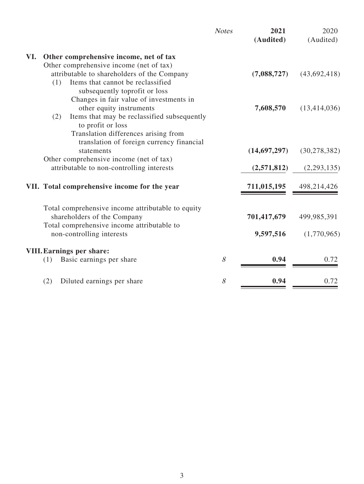| VI.<br>Other comprehensive income, net of tax<br>Other comprehensive income (net of tax)<br>attributable to shareholders of the Company<br>(7,088,727)<br>(1)<br>Items that cannot be reclassified<br>subsequently toprofit or loss<br>Changes in fair value of investments in<br>other equity instruments<br>7,608,570<br>(2)<br>Items that may be reclassified subsequently<br>to profit or loss<br>Translation differences arising from<br>translation of foreign currency financial<br>(14,697,297)<br>statements<br>Other comprehensive income (net of tax)<br>attributable to non-controlling interests<br>(2,571,812)<br>VII. Total comprehensive income for the year<br>711,015,195<br>498,214,426<br>Total comprehensive income attributable to equity<br>shareholders of the Company<br>701,417,679<br>499,985,391<br>Total comprehensive income attributable to<br>non-controlling interests<br>9,597,516<br><b>VIII. Earnings per share:</b><br>8<br>0.94<br>Basic earnings per share<br>0.72<br>(1)<br>8<br>0.94<br>0.72 |                                   | <b>Notes</b> | 2021<br>(Audited) | 2020<br>(Audited) |
|---------------------------------------------------------------------------------------------------------------------------------------------------------------------------------------------------------------------------------------------------------------------------------------------------------------------------------------------------------------------------------------------------------------------------------------------------------------------------------------------------------------------------------------------------------------------------------------------------------------------------------------------------------------------------------------------------------------------------------------------------------------------------------------------------------------------------------------------------------------------------------------------------------------------------------------------------------------------------------------------------------------------------------------|-----------------------------------|--------------|-------------------|-------------------|
|                                                                                                                                                                                                                                                                                                                                                                                                                                                                                                                                                                                                                                                                                                                                                                                                                                                                                                                                                                                                                                       |                                   |              |                   |                   |
|                                                                                                                                                                                                                                                                                                                                                                                                                                                                                                                                                                                                                                                                                                                                                                                                                                                                                                                                                                                                                                       |                                   |              |                   |                   |
|                                                                                                                                                                                                                                                                                                                                                                                                                                                                                                                                                                                                                                                                                                                                                                                                                                                                                                                                                                                                                                       |                                   |              |                   | (43,692,418)      |
|                                                                                                                                                                                                                                                                                                                                                                                                                                                                                                                                                                                                                                                                                                                                                                                                                                                                                                                                                                                                                                       |                                   |              |                   |                   |
|                                                                                                                                                                                                                                                                                                                                                                                                                                                                                                                                                                                                                                                                                                                                                                                                                                                                                                                                                                                                                                       |                                   |              |                   |                   |
|                                                                                                                                                                                                                                                                                                                                                                                                                                                                                                                                                                                                                                                                                                                                                                                                                                                                                                                                                                                                                                       |                                   |              |                   | (13, 414, 036)    |
|                                                                                                                                                                                                                                                                                                                                                                                                                                                                                                                                                                                                                                                                                                                                                                                                                                                                                                                                                                                                                                       |                                   |              |                   |                   |
|                                                                                                                                                                                                                                                                                                                                                                                                                                                                                                                                                                                                                                                                                                                                                                                                                                                                                                                                                                                                                                       |                                   |              |                   |                   |
|                                                                                                                                                                                                                                                                                                                                                                                                                                                                                                                                                                                                                                                                                                                                                                                                                                                                                                                                                                                                                                       |                                   |              |                   |                   |
|                                                                                                                                                                                                                                                                                                                                                                                                                                                                                                                                                                                                                                                                                                                                                                                                                                                                                                                                                                                                                                       |                                   |              |                   | (30, 278, 382)    |
|                                                                                                                                                                                                                                                                                                                                                                                                                                                                                                                                                                                                                                                                                                                                                                                                                                                                                                                                                                                                                                       |                                   |              |                   |                   |
|                                                                                                                                                                                                                                                                                                                                                                                                                                                                                                                                                                                                                                                                                                                                                                                                                                                                                                                                                                                                                                       |                                   |              |                   | (2,293,135)       |
|                                                                                                                                                                                                                                                                                                                                                                                                                                                                                                                                                                                                                                                                                                                                                                                                                                                                                                                                                                                                                                       |                                   |              |                   |                   |
|                                                                                                                                                                                                                                                                                                                                                                                                                                                                                                                                                                                                                                                                                                                                                                                                                                                                                                                                                                                                                                       |                                   |              |                   |                   |
|                                                                                                                                                                                                                                                                                                                                                                                                                                                                                                                                                                                                                                                                                                                                                                                                                                                                                                                                                                                                                                       |                                   |              |                   |                   |
|                                                                                                                                                                                                                                                                                                                                                                                                                                                                                                                                                                                                                                                                                                                                                                                                                                                                                                                                                                                                                                       |                                   |              |                   |                   |
|                                                                                                                                                                                                                                                                                                                                                                                                                                                                                                                                                                                                                                                                                                                                                                                                                                                                                                                                                                                                                                       |                                   |              |                   | (1,770,965)       |
|                                                                                                                                                                                                                                                                                                                                                                                                                                                                                                                                                                                                                                                                                                                                                                                                                                                                                                                                                                                                                                       |                                   |              |                   |                   |
|                                                                                                                                                                                                                                                                                                                                                                                                                                                                                                                                                                                                                                                                                                                                                                                                                                                                                                                                                                                                                                       |                                   |              |                   |                   |
|                                                                                                                                                                                                                                                                                                                                                                                                                                                                                                                                                                                                                                                                                                                                                                                                                                                                                                                                                                                                                                       | (2)<br>Diluted earnings per share |              |                   |                   |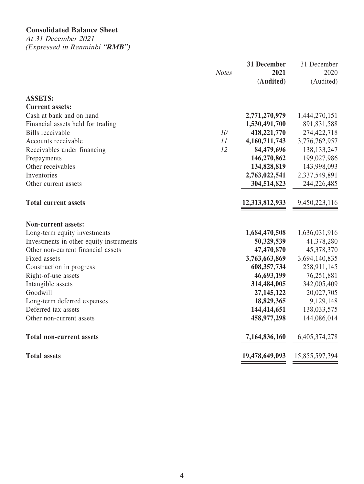# **Consolidated Balance Sheet**

At 31 December 2021 (Expressed in Renminbi "**RMB**")

|                                         |              | 31 December    | 31 December    |
|-----------------------------------------|--------------|----------------|----------------|
|                                         | <b>Notes</b> | 2021           | 2020           |
|                                         |              | (Audited)      | (Audited)      |
| <b>ASSETS:</b>                          |              |                |                |
| <b>Current assets:</b>                  |              |                |                |
| Cash at bank and on hand                |              | 2,771,270,979  | 1,444,270,151  |
| Financial assets held for trading       |              | 1,530,491,700  | 891,831,588    |
| Bills receivable                        | 10           | 418,221,770    | 274,422,718    |
| Accounts receivable                     | 11           | 4,160,711,743  | 3,776,762,957  |
| Receivables under financing             | 12           | 84,479,696     | 138, 133, 247  |
| Prepayments                             |              | 146,270,862    | 199,027,986    |
| Other receivables                       |              | 134,828,819    | 143,998,093    |
| Inventories                             |              | 2,763,022,541  | 2,337,549,891  |
| Other current assets                    |              | 304,514,823    | 244,226,485    |
| <b>Total current assets</b>             |              | 12,313,812,933 | 9,450,223,116  |
| <b>Non-current assets:</b>              |              |                |                |
| Long-term equity investments            |              | 1,684,470,508  | 1,636,031,916  |
| Investments in other equity instruments |              | 50,329,539     | 41,378,280     |
| Other non-current financial assets      |              | 47,470,870     | 45,378,370     |
| Fixed assets                            |              | 3,763,663,869  | 3,694,140,835  |
| Construction in progress                |              | 608, 357, 734  | 258,911,145    |
| Right-of-use assets                     |              | 46,693,199     | 76,251,881     |
| Intangible assets                       |              | 314,484,005    | 342,005,409    |
| Goodwill                                |              | 27, 145, 122   | 20,027,705     |
| Long-term deferred expenses             |              | 18,829,365     | 9,129,148      |
| Deferred tax assets                     |              | 144,414,651    | 138,033,575    |
| Other non-current assets                |              | 458,977,298    | 144,086,014    |
| <b>Total non-current assets</b>         |              | 7,164,836,160  | 6,405,374,278  |
| <b>Total assets</b>                     |              | 19,478,649,093 | 15,855,597,394 |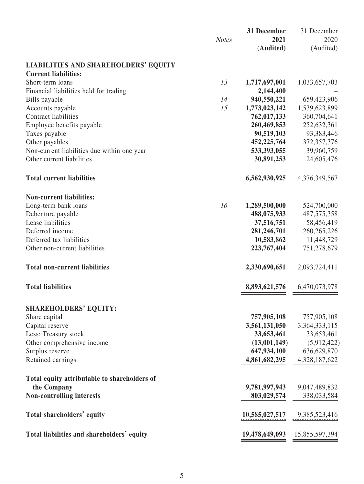|                                              |              | 31 December                      | 31 December       |
|----------------------------------------------|--------------|----------------------------------|-------------------|
|                                              | <b>Notes</b> | 2021<br>(Audited)                | 2020<br>(Audited) |
| <b>LIABILITIES AND SHAREHOLDERS' EQUITY</b>  |              |                                  |                   |
| <b>Current liabilities:</b>                  |              |                                  |                   |
| Short-term loans                             | 13           | 1,717,697,001                    | 1,033,657,703     |
| Financial liabilities held for trading       |              | 2,144,400                        |                   |
| Bills payable                                | 14           | 940,550,221                      | 659,423,906       |
| Accounts payable                             | 15           | 1,773,023,142                    | 1,539,623,899     |
| Contract liabilities                         |              | 762,017,133                      | 360,704,641       |
| Employee benefits payable                    |              | 260,469,853                      | 252,632,361       |
| Taxes payable                                |              | 90,519,103                       | 93,383,446        |
| Other payables                               |              | 452,225,764                      | 372, 357, 376     |
| Non-current liabilities due within one year  |              | 533,393,055                      | 39,960,759        |
| Other current liabilities                    |              | 30,891,253                       | 24,605,476        |
| <b>Total current liabilities</b>             |              | 6,562,930,925                    | 4,376,349,567     |
| <b>Non-current liabilities:</b>              |              |                                  |                   |
| Long-term bank loans                         | 16           | 1,289,500,000                    | 524,700,000       |
| Debenture payable                            |              | 488,075,933                      | 487, 575, 358     |
| Lease liabilities                            |              | 37,516,751                       | 58,456,419        |
| Deferred income                              |              | 281,246,701                      | 260, 265, 226     |
| Deferred tax liabilities                     |              | 10,583,862                       | 11,448,729        |
| Other non-current liabilities                |              | 223,767,404                      | 751,278,679       |
| <b>Total non-current liabilities</b>         |              | 2,330,690,651                    | 2,093,724,411     |
|                                              |              |                                  |                   |
| <b>Total liabilities</b>                     |              | 8,893,621,576                    | 6,470,073,978     |
| <b>SHAREHOLDERS' EQUITY:</b>                 |              |                                  |                   |
| Share capital                                |              | 757,905,108                      | 757,905,108       |
| Capital reserve                              |              | 3,561,131,050                    | 3, 364, 333, 115  |
| Less: Treasury stock                         |              | 33,653,461                       | 33,653,461        |
| Other comprehensive income                   |              | (13,001,149)                     | (5,912,422)       |
| Surplus reserve                              |              | 647,934,100                      | 636,629,870       |
| Retained earnings                            |              | 4,861,682,295                    | 4,328,187,622     |
| Total equity attributable to shareholders of |              |                                  |                   |
| the Company                                  |              | 9,781,997,943                    | 9,047,489,832     |
| Non-controlling interests                    |              | 803,029,574                      | 338,033,584       |
| Total shareholders' equity                   |              | $10,585,027,517$ $9,385,523,416$ |                   |
| Total liabilities and shareholders' equity   |              | 19,478,649,093 15,855,597,394    |                   |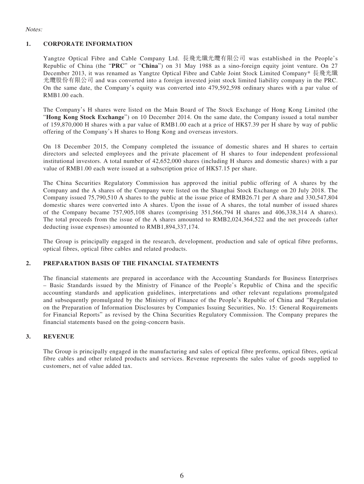#### Notes:

#### **1. CORPORATE INFORMATION**

Yangtze Optical Fibre and Cable Company Ltd. 長飛光纖光纜有限公司 was established in the People's Republic of China (the "**PRC**" or "**China**") on 31 May 1988 as a sino-foreign equity joint venture. On 27 December 2013, it was renamed as Yangtze Optical Fibre and Cable Joint Stock Limited Company\* 長飛光纖 光纜股份有限公司 and was converted into a foreign invested joint stock limited liability company in the PRC. On the same date, the Company's equity was converted into 479,592,598 ordinary shares with a par value of RMB1.00 each.

The Company's H shares were listed on the Main Board of The Stock Exchange of Hong Kong Limited (the "**Hong Kong Stock Exchange**") on 10 December 2014. On the same date, the Company issued a total number of 159,870,000 H shares with a par value of RMB1.00 each at a price of HK\$7.39 per H share by way of public offering of the Company's H shares to Hong Kong and overseas investors.

On 18 December 2015, the Company completed the issuance of domestic shares and H shares to certain directors and selected employees and the private placement of H shares to four independent professional institutional investors. A total number of 42,652,000 shares (including H shares and domestic shares) with a par value of RMB1.00 each were issued at a subscription price of HK\$7.15 per share.

The China Securities Regulatory Commission has approved the initial public offering of A shares by the Company and the A shares of the Company were listed on the Shanghai Stock Exchange on 20 July 2018. The Company issued 75,790,510 A shares to the public at the issue price of RMB26.71 per A share and 330,547,804 domestic shares were converted into A shares. Upon the issue of A shares, the total number of issued shares of the Company became 757,905,108 shares (comprising 351,566,794 H shares and 406,338,314 A shares). The total proceeds from the issue of the A shares amounted to RMB2,024,364,522 and the net proceeds (after deducting issue expenses) amounted to RMB1,894,337,174.

The Group is principally engaged in the research, development, production and sale of optical fibre preforms, optical fibres, optical fibre cables and related products.

#### **2. PREPARATION BASIS OF THE FINANCIAL STATEMENTS**

The financial statements are prepared in accordance with the Accounting Standards for Business Enterprises – Basic Standards issued by the Ministry of Finance of the People's Republic of China and the specific accounting standards and application guidelines, interpretations and other relevant regulations promulgated and subsequently promulgated by the Ministry of Finance of the People's Republic of China and "Regulation on the Preparation of Information Disclosures by Companies Issuing Securities, No. 15: General Requirements for Financial Reports" as revised by the China Securities Regulatory Commission. The Company prepares the financial statements based on the going-concern basis.

#### **3. REVENUE**

The Group is principally engaged in the manufacturing and sales of optical fibre preforms, optical fibres, optical fibre cables and other related products and services. Revenue represents the sales value of goods supplied to customers, net of value added tax.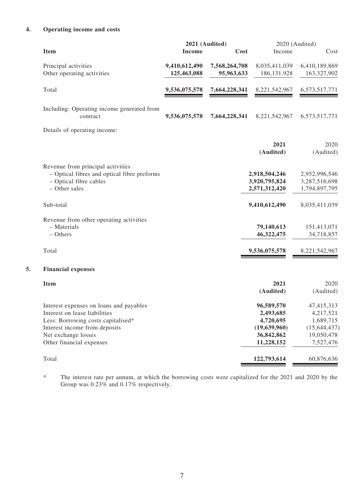### **4. Operating income and costs**

|    | <b>Item</b>                                            | 2021 (Audited)<br>Cost<br><b>Income</b> |               | Income            | 2020 (Audited)<br>Cost |  |
|----|--------------------------------------------------------|-----------------------------------------|---------------|-------------------|------------------------|--|
|    | Principal activities                                   | 9,410,612,490                           | 7,568,264,708 | 8,035,411,039     | 6,410,189,869          |  |
|    | Other operating activities                             | 125,463,088                             | 95,963,633    | 186, 131, 928     | 163,327,902            |  |
|    | Total                                                  | 9,536,075,578                           | 7,664,228,341 | 8,221,542,967     | 6,573,517,771          |  |
|    | Including: Operating income generated from<br>contract | 9,536,075,578                           | 7,664,228,341 | 8,221,542,967     | 6,573,517,771          |  |
|    | Details of operating income:                           |                                         |               |                   |                        |  |
|    |                                                        |                                         |               | 2021<br>(Audited) | 2020<br>(Audited)      |  |
|    | Revenue from principal activities                      |                                         |               |                   |                        |  |
|    | - Optical fibres and optical fibre preforms            |                                         |               | 2,918,504,246     | 2,952,996,546          |  |
|    | - Optical fibre cables                                 |                                         |               | 3,920,795,824     | 3,287,516,698          |  |
|    | - Other sales                                          |                                         |               | 2,571,312,420     | 1,794,897,795          |  |
|    | Sub-total                                              |                                         |               | 9,410,612,490     | 8,035,411,039          |  |
|    | Revenue from other operating activities                |                                         |               |                   |                        |  |
|    | - Materials                                            |                                         |               | 79,140,613        | 151,413,071            |  |
|    | $-$ Others                                             |                                         |               | 46,322,475        | 34,718,857             |  |
|    | Total                                                  |                                         |               | 9,536,075,578     | 8,221,542,967          |  |
| 5. | <b>Financial expenses</b>                              |                                         |               |                   |                        |  |
|    | <b>Item</b>                                            |                                         |               | 2021              | 2020                   |  |
|    |                                                        |                                         |               | (Audited)         | (Audited)              |  |
|    | Interest expenses on loans and payables                |                                         |               | 96,589,570        | 47,415,313             |  |
|    | Interest on lease liabilities                          |                                         |               | 2,493,685         | 4,217,521              |  |
|    | Less: Borrowing costs capitalised*                     |                                         |               | 4,720,695         | 1,689,715              |  |
|    | Interest income from deposits                          |                                         |               | (19,639,960)      | (15, 644, 437)         |  |
|    | Net exchange losses                                    |                                         |               | 36,842,862        | 19,050,478             |  |
|    | Other financial expenses                               |                                         |               | 11,228,152        | 7,527,476              |  |
|    | Total                                                  |                                         |               | 122,793,614       | 60,876,636             |  |
|    |                                                        |                                         |               |                   |                        |  |

\* The interest rate per annum, at which the borrowing costs were capitalized for the 2021 and 2020 by the Group was 0.23% and 0.17% respectively.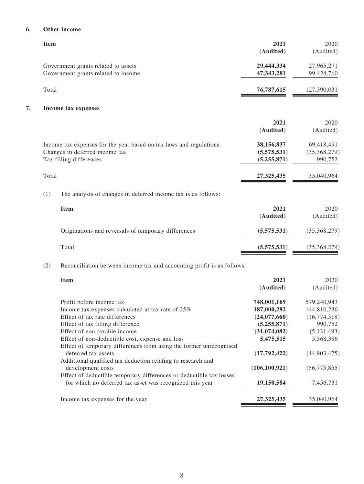#### **6. Other income**

| 2021<br>(Audited)                        |                                                                                                                                 | <b>Item</b>                                                                                                                                                                                                                                                                                                                                                                                                                                                                                                                                                                                                                                          |
|------------------------------------------|---------------------------------------------------------------------------------------------------------------------------------|------------------------------------------------------------------------------------------------------------------------------------------------------------------------------------------------------------------------------------------------------------------------------------------------------------------------------------------------------------------------------------------------------------------------------------------------------------------------------------------------------------------------------------------------------------------------------------------------------------------------------------------------------|
| 29,444,334                               |                                                                                                                                 |                                                                                                                                                                                                                                                                                                                                                                                                                                                                                                                                                                                                                                                      |
| 47,343,281                               |                                                                                                                                 |                                                                                                                                                                                                                                                                                                                                                                                                                                                                                                                                                                                                                                                      |
| 76,787,615                               |                                                                                                                                 | Total                                                                                                                                                                                                                                                                                                                                                                                                                                                                                                                                                                                                                                                |
|                                          |                                                                                                                                 | 7.                                                                                                                                                                                                                                                                                                                                                                                                                                                                                                                                                                                                                                                   |
| 2021<br>(Audited)                        |                                                                                                                                 |                                                                                                                                                                                                                                                                                                                                                                                                                                                                                                                                                                                                                                                      |
| 38,156,837<br>(5,575,531)<br>(5,255,871) |                                                                                                                                 |                                                                                                                                                                                                                                                                                                                                                                                                                                                                                                                                                                                                                                                      |
| 27,325,435                               |                                                                                                                                 | Total                                                                                                                                                                                                                                                                                                                                                                                                                                                                                                                                                                                                                                                |
|                                          | The analysis of changes in deferred income tax is as follows:                                                                   | (1)                                                                                                                                                                                                                                                                                                                                                                                                                                                                                                                                                                                                                                                  |
| 2021<br>(Audited)                        | <b>Item</b>                                                                                                                     |                                                                                                                                                                                                                                                                                                                                                                                                                                                                                                                                                                                                                                                      |
| (5,575,531)                              | Originations and reversals of temporary differences                                                                             |                                                                                                                                                                                                                                                                                                                                                                                                                                                                                                                                                                                                                                                      |
| (5,575,531)                              | Total                                                                                                                           |                                                                                                                                                                                                                                                                                                                                                                                                                                                                                                                                                                                                                                                      |
|                                          |                                                                                                                                 | (2)                                                                                                                                                                                                                                                                                                                                                                                                                                                                                                                                                                                                                                                  |
| 2021                                     | <b>Item</b>                                                                                                                     |                                                                                                                                                                                                                                                                                                                                                                                                                                                                                                                                                                                                                                                      |
|                                          |                                                                                                                                 |                                                                                                                                                                                                                                                                                                                                                                                                                                                                                                                                                                                                                                                      |
| 748,001,169                              | Profit before income tax                                                                                                        |                                                                                                                                                                                                                                                                                                                                                                                                                                                                                                                                                                                                                                                      |
| (24,077,660)                             | Effect of tax rate differences                                                                                                  |                                                                                                                                                                                                                                                                                                                                                                                                                                                                                                                                                                                                                                                      |
| (5,255,871)                              | Effect of tax filling difference                                                                                                |                                                                                                                                                                                                                                                                                                                                                                                                                                                                                                                                                                                                                                                      |
|                                          |                                                                                                                                 |                                                                                                                                                                                                                                                                                                                                                                                                                                                                                                                                                                                                                                                      |
|                                          |                                                                                                                                 |                                                                                                                                                                                                                                                                                                                                                                                                                                                                                                                                                                                                                                                      |
| (17,792,422)                             | deferred tax assets                                                                                                             |                                                                                                                                                                                                                                                                                                                                                                                                                                                                                                                                                                                                                                                      |
|                                          |                                                                                                                                 |                                                                                                                                                                                                                                                                                                                                                                                                                                                                                                                                                                                                                                                      |
| 19,150,584                               | Effect of deductible temporary differences or deductible tax losses<br>for which no deferred tax asset was recognized this year |                                                                                                                                                                                                                                                                                                                                                                                                                                                                                                                                                                                                                                                      |
|                                          |                                                                                                                                 |                                                                                                                                                                                                                                                                                                                                                                                                                                                                                                                                                                                                                                                      |
|                                          | (Audited)<br>187,000,292<br>(31,074,082)<br>5,475,515<br>(106, 100, 921)<br>27,325,435                                          | Government grants related to assets<br>Government grants related to income<br>Income tax expenses<br>Income tax expenses for the year based on tax laws and regulations<br>Changes in deferred income tax<br>Tax filling differences<br>Reconciliation between income tax and accounting profit is as follows:<br>Income tax expenses calculated at tax rate of 25%<br>Effect of non-taxable income<br>Effect of non-deductible cost, expense and loss<br>Effect of temporary differences from using the former unrecognised<br>Additional qualified tax deduction relating to research and<br>development costs<br>Income tax expenses for the year |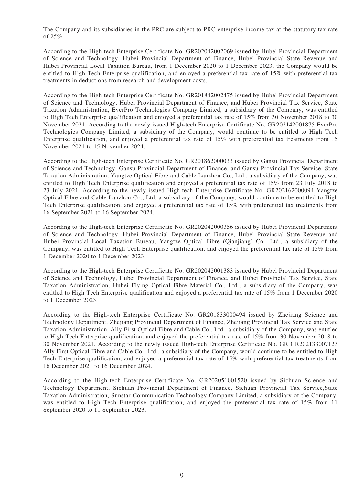The Company and its subsidiaries in the PRC are subject to PRC enterprise income tax at the statutory tax rate of 25%.

According to the High-tech Enterprise Certificate No. GR202042002069 issued by Hubei Provincial Department of Science and Technology, Hubei Provincial Department of Finance, Hubei Provincial State Revenue and Hubei Provincial Local Taxation Bureau, from 1 December 2020 to 1 December 2023, the Company would be entitled to High Tech Enterprise qualification, and enjoyed a preferential tax rate of 15% with preferential tax treatments in deductions from research and development costs.

According to the High-tech Enterprise Certificate No. GR201842002475 issued by Hubei Provincial Department of Science and Technology, Hubei Provincial Department of Finance, and Hubei Provincial Tax Service, State Taxation Administration, EverPro Technologies Company Limited, a subsidiary of the Company, was entitled to High Tech Enterprise qualification and enjoyed a preferential tax rate of 15% from 30 November 2018 to 30 November 2021. According to the newly issued High-tech Enterprise Certificate No. GR202142001875 EverPro Technologies Company Limited, a subsidiary of the Company, would continue to be entitled to High Tech Enterprise qualification, and enjoyed a preferential tax rate of 15% with preferential tax treatments from 15 November 2021 to 15 November 2024.

According to the High-tech Enterprise Certificate No. GR201862000033 issued by Gansu Provincial Department of Science and Technology, Gansu Provincial Department of Finance, and Gansu Provincial Tax Service, State Taxation Administration, Yangtze Optical Fibre and Cable Lanzhou Co., Ltd., a subsidiary of the Company, was entitled to High Tech Enterprise qualification and enjoyed a preferential tax rate of 15% from 23 July 2018 to 23 July 2021. According to the newly issued High-tech Enterprise Certificate No. GR202162000094 Yangtze Optical Fibre and Cable Lanzhou Co., Ltd, a subsidiary of the Company, would continue to be entitled to High Tech Enterprise qualification, and enjoyed a preferential tax rate of 15% with preferential tax treatments from 16 September 2021 to 16 September 2024.

According to the High-tech Enterprise Certificate No. GR202042000356 issued by Hubei Provincial Department of Science and Technology, Hubei Provincial Department of Finance, Hubei Provincial State Revenue and Hubei Provincial Local Taxation Bureau, Yangtze Optical Fibre (Qianjiang) Co., Ltd., a subsidiary of the Company, was entitled to High Tech Enterprise qualification, and enjoyed the preferential tax rate of 15% from 1 December 2020 to 1 December 2023.

According to the High-tech Enterprise Certificate No. GR202042001383 issued by Hubei Provincial Department of Science and Technology, Hubei Provincial Department of Finance, and Hubei Provincial Tax Service, State Taxation Administration, Hubei Flying Optical Fibre Material Co., Ltd., a subsidiary of the Company, was entitled to High Tech Enterprise qualification and enjoyed a preferential tax rate of 15% from 1 December 2020 to 1 December 2023.

According to the High-tech Enterprise Certificate No. GR201833000494 issued by Zhejiang Science and Technology Department, Zhejiang Provincial Department of Finance, Zhejiang Provincial Tax Service and State Taxation Administration, Ally First Optical Fibre and Cable Co., Ltd., a subsidiary of the Company, was entitled to High Tech Enterprise qualification, and enjoyed the preferential tax rate of 15% from 30 November 2018 to 30 November 2021. According to the newly issued High-tech Enterprise Certificate No. GR GR202133007123 Ally First Optical Fibre and Cable Co., Ltd., a subsidiary of the Company, would continue to be entitled to High Tech Enterprise qualification, and enjoyed a preferential tax rate of 15% with preferential tax treatments from 16 December 2021 to 16 December 2024.

According to the High-tech Enterprise Certificate No. GR202051001520 issued by Sichuan Science and Technology Department, Sichuan Provincial Department of Finance, Sichuan Provincial Tax Service,State Taxation Administration, Sunstar Communication Technology Company Limited, a subsidiary of the Company, was entitled to High Tech Enterprise qualification, and enjoyed the preferential tax rate of 15% from 11 September 2020 to 11 September 2023.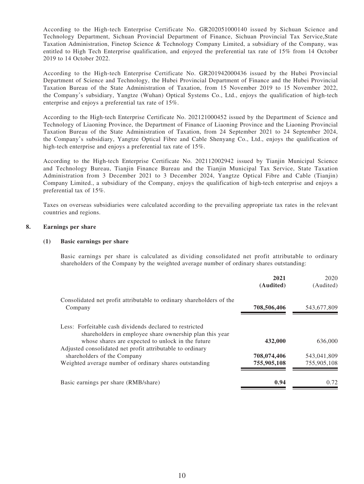According to the High-tech Enterprise Certificate No. GR202051000140 issued by Sichuan Science and Technology Department, Sichuan Provincial Department of Finance, Sichuan Provincial Tax Service,State Taxation Administration, Finetop Science & Technology Company Limited, a subsidiary of the Company, was entitled to High Tech Enterprise qualification, and enjoyed the preferential tax rate of 15% from 14 October 2019 to 14 October 2022.

According to the High-tech Enterprise Certificate No. GR201942000436 issued by the Hubei Provincial Department of Science and Technology, the Hubei Provincial Department of Finance and the Hubei Provincial Taxation Bureau of the State Administration of Taxation, from 15 November 2019 to 15 November 2022, the Company's subsidiary, Yangtze (Wuhan) Optical Systems Co., Ltd., enjoys the qualification of high-tech enterprise and enjoys a preferential tax rate of 15%.

According to the High-tech Enterprise Certificate No. 202121000452 issued by the Department of Science and Technology of Liaoning Province, the Department of Finance of Liaoning Province and the Liaoning Provincial Taxation Bureau of the State Administration of Taxation, from 24 September 2021 to 24 September 2024, the Company's subsidiary, Yangtze Optical Fibre and Cable Shenyang Co., Ltd., enjoys the qualification of high-tech enterprise and enjoys a preferential tax rate of 15%.

According to the High-tech Enterprise Certificate No. 202112002942 issued by Tianjin Municipal Science and Technology Bureau, Tianjin Finance Bureau and the Tianjin Municipal Tax Service, State Taxation Administration from 3 December 2021 to 3 December 2024, Yangtze Optical Fibre and Cable (Tianjin) Company Limited., a subsidiary of the Company, enjoys the qualification of high-tech enterprise and enjoys a preferential tax of 15%.

Taxes on overseas subsidiaries were calculated according to the prevailing appropriate tax rates in the relevant countries and regions.

#### **8. Earnings per share**

#### **(1) Basic earnings per share**

Basic earnings per share is calculated as dividing consolidated net profit attributable to ordinary shareholders of the Company by the weighted average number of ordinary shares outstanding:

|                                                                                                                                                                         | 2021<br>(Audited)          | 2020<br>(Audited)          |
|-------------------------------------------------------------------------------------------------------------------------------------------------------------------------|----------------------------|----------------------------|
| Consolidated net profit attributable to ordinary shareholders of the<br>Company                                                                                         | 708,506,406                | 543,677,809                |
| Less: Forfeitable cash dividends declared to restricted<br>shareholders in employee share ownership plan this year<br>whose shares are expected to unlock in the future | 432,000                    | 636,000                    |
| Adjusted consolidated net profit attributable to ordinary<br>shareholders of the Company<br>Weighted average number of ordinary shares outstanding                      | 708,074,406<br>755,905,108 | 543,041,809<br>755,905,108 |
| Basic earnings per share (RMB/share)                                                                                                                                    | 0.94                       | 0.72                       |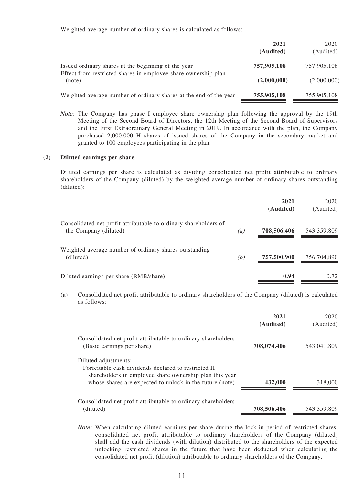Weighted average number of ordinary shares is calculated as follows:

|                                                                          | 2021<br>(Audited) | 2020<br>(Audited) |
|--------------------------------------------------------------------------|-------------------|-------------------|
| Issued ordinary shares at the beginning of the year                      | 757,905,108       | 757,905,108       |
| Effect from restricted shares in employee share ownership plan<br>(note) | (2,000,000)       | (2,000,000)       |
| Weighted average number of ordinary shares at the end of the year        | 755,905,108       | 755,905,108       |

Note: The Company has phase I employee share ownership plan following the approval by the 19th Meeting of the Second Board of Directors, the 12th Meeting of the Second Board of Supervisors and the First Extraordinary General Meeting in 2019. In accordance with the plan, the Company purchased 2,000,000 H shares of issued shares of the Company in the secondary market and granted to 100 employees participating in the plan.

#### **(2) Diluted earnings per share**

Diluted earnings per share is calculated as dividing consolidated net profit attributable to ordinary shareholders of the Company (diluted) by the weighted average number of ordinary shares outstanding (diluted):

|                                                                                           |     | 2021<br>(Audited) | 2020<br>(Audited) |
|-------------------------------------------------------------------------------------------|-----|-------------------|-------------------|
| Consolidated net profit attributable to ordinary shareholders of<br>the Company (diluted) | (a) | 708,506,406       | 543,359,809       |
| Weighted average number of ordinary shares outstanding<br>(diluted)                       | (b) | 757,500,900       | 756,704,890       |
| Diluted earnings per share (RMB/share)                                                    |     | 0.94              | 0.72              |

(a) Consolidated net profit attributable to ordinary shareholders of the Company (diluted) is calculated as follows:

|                                                                                                                                                                                                    | 2021<br>(Audited) | 2020<br>(Audited) |
|----------------------------------------------------------------------------------------------------------------------------------------------------------------------------------------------------|-------------------|-------------------|
| Consolidated net profit attributable to ordinary shareholders<br>(Basic earnings per share)                                                                                                        | 708,074,406       | 543,041,809       |
| Diluted adjustments:<br>Forfeitable cash dividends declared to restricted H<br>shareholders in employee share ownership plan this year<br>whose shares are expected to unlock in the future (note) | 432,000           | 318,000           |
| Consolidated net profit attributable to ordinary shareholders<br>(diluted)                                                                                                                         | 708,506,406       | 543,359,809       |

Note: When calculating diluted earnings per share during the lock-in period of restricted shares, consolidated net profit attributable to ordinary shareholders of the Company (diluted) shall add the cash dividends (with dilution) distributed to the shareholders of the expected unlocking restricted shares in the future that have been deducted when calculating the consolidated net profit (dilution) attributable to ordinary shareholders of the Company.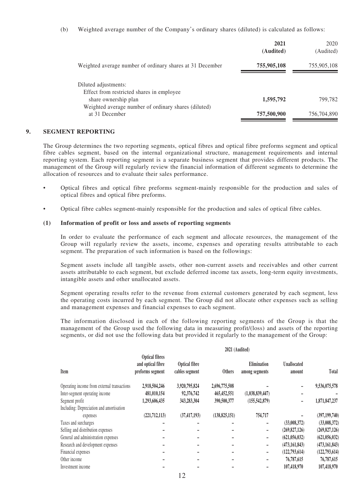(b) Weighted average number of the Company's ordinary shares (diluted) is calculated as follows:

|                                                                        | 2021<br>(Audited) | 2020<br>(Audited) |
|------------------------------------------------------------------------|-------------------|-------------------|
| Weighted average number of ordinary shares at 31 December              | 755,905,108       | 755,905,108       |
| Diluted adjustments:<br>Effect from restricted shares in employee      |                   |                   |
| share ownership plan                                                   | 1,595,792         | 799.782           |
| Weighted average number of ordinary shares (diluted)<br>at 31 December | 757,500,900       | 756,704,890       |

#### **9. SEGMENT REPORTING**

The Group determines the two reporting segments, optical fibres and optical fibre preforms segment and optical fibre cables segment, based on the internal organizational structure, management requirements and internal reporting system. Each reporting segment is a separate business segment that provides different products. The management of the Group will regularly review the financial information of different segments to determine the allocation of resources and to evaluate their sales performance.

- Optical fibres and optical fibre preforms segment-mainly responsible for the production and sales of optical fibres and optical fibre preforms.
- Optical fibre cables segment-mainly responsible for the production and sales of optical fibre cables.

#### **(1) Information of profit or loss and assets of reporting segments**

In order to evaluate the performance of each segment and allocate resources, the management of the Group will regularly review the assets, income, expenses and operating results attributable to each segment. The preparation of such information is based on the followings:

Segment assets include all tangible assets, other non-current assets and receivables and other current assets attributable to each segment, but exclude deferred income tax assets, long-term equity investments, intangible assets and other unallocated assets.

Segment operating results refer to the revenue from external customers generated by each segment, less the operating costs incurred by each segment. The Group did not allocate other expenses such as selling and management expenses and financial expenses to each segment.

The information disclosed in each of the following reporting segments of the Group is that the management of the Group used the following data in measuring profit/(loss) and assets of the reporting segments, or did not use the following data but provided it regularly to the management of the Group:

|                                             |                                                                |                                        | 2021 (Audited)  |                               |                              |                 |
|---------------------------------------------|----------------------------------------------------------------|----------------------------------------|-----------------|-------------------------------|------------------------------|-----------------|
| Item                                        | <b>Optical fibres</b><br>and optical fibre<br>preforms segment | <b>Optical fibre</b><br>cables segment | <b>Others</b>   | Elimination<br>among segments | <b>Unallocated</b><br>amount | Total           |
| Operating income from external transactions | 2,918,504,246                                                  | 3,920,795,824                          | 2,696,775,508   |                               |                              | 9,536,075,578   |
| Inter-segment operating income              | 481,010,154                                                    | 92,376,742                             | 465, 452, 551   | (1,038,839,447)               |                              |                 |
| Segment profit                              | 1,293,606,435                                                  | 343,283,304                            | 390,500,377     | (155, 542, 879)               |                              | 1,871,847,237   |
| Including: Depreciation and amortisation    |                                                                |                                        |                 |                               |                              |                 |
| expenses                                    | (221, 712, 113)                                                | (37, 417, 193)                         | (138, 825, 151) | 754,717                       |                              | (397, 199, 740) |
| Taxes and surcharges                        |                                                                |                                        |                 |                               | (33,008,372)                 | (33,008,372)    |
| Selling and distribution expenses           |                                                                |                                        |                 |                               | (269, 827, 126)              | (269, 827, 126) |
| General and administration expenses         |                                                                |                                        |                 | $\qquad \qquad \blacksquare$  | (621, 056, 032)              | (621, 056, 032) |
| Research and development expenses           |                                                                |                                        |                 | $\qquad \qquad \blacksquare$  | (473, 161, 843)              | (473, 161, 843) |
| Financial expenses                          |                                                                |                                        |                 | $\qquad \qquad \blacksquare$  | (122,793,614)                | (122, 793, 614) |
| Other income                                |                                                                |                                        |                 |                               | 76,787,615                   | 76,787,615      |
| Investment income                           |                                                                |                                        |                 |                               | 107,418,970                  | 107,418,970     |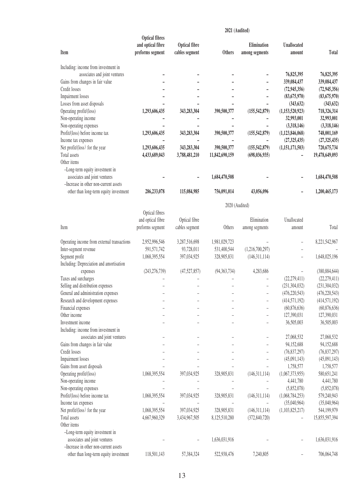|                                             |                       |                | 2021 (Audited) |                   |                 |                 |
|---------------------------------------------|-----------------------|----------------|----------------|-------------------|-----------------|-----------------|
|                                             | <b>Optical fibres</b> |                |                |                   |                 |                 |
|                                             | and optical fibre     | Optical fibre  |                | Elimination       | Unallocated     |                 |
| Item                                        | preforms segment      | cables segment | <b>Others</b>  | among segments    | amount          | <b>Total</b>    |
| Including: income from investment in        |                       |                |                |                   |                 |                 |
| associates and joint ventures               |                       |                |                |                   | 76,825,395      | 76,825,395      |
| Gains from changes in fair value            |                       |                |                |                   | 339,084,437     | 339,084,437     |
| Credit losses                               |                       |                |                |                   | (72, 945, 356)  | (72, 945, 356)  |
| Impairment losses                           |                       |                |                |                   | (83,675,970)    | (83, 675, 970)  |
| Losses from asset disposals                 |                       |                |                |                   | (343, 632)      | (343, 632)      |
| Operating profit/(loss)                     | 1,293,606,435         | 343,283,304    | 390,500,377    | (155, 542, 879)   | (1,153,520,923) | 718,326,314     |
| Non-operating income                        |                       |                |                |                   | 32,993,001      | 32,993,001      |
| Non-operating expenses                      |                       |                |                |                   | (3,318,146)     | (3,318,146)     |
| Profit/(loss) before income tax             | 1,293,606,435         | 343,283,304    | 390,500,377    | (155, 542, 879)   | (1,123,846,068) | 748,001,169     |
| Income tax expenses                         |                       |                |                |                   | (27, 325, 435)  | (27, 325, 435)  |
| Net profit/(loss) for the year              | 1,293,606,435         | 343,283,304    | 390,500,377    | (155, 542, 879)   | (1,151,171,503) | 720,675,734     |
| Total assets                                |                       |                |                |                   |                 |                 |
|                                             | 4,433,689,043         | 3,788,481,210  | 11,842,690,159 | (698, 036, 935)   |                 | 19,478,649,093  |
| Other items                                 |                       |                |                |                   |                 |                 |
| -Long-term equity investment in             |                       |                |                |                   |                 |                 |
| associates and joint ventures               |                       |                | 1,684,470,508  |                   |                 | 1,684,470,508   |
| -Increase in other non-current assets       |                       |                |                |                   |                 |                 |
| other than long-term equity investment      | 286,233,078           | 115,084,985    | 756,091,014    | 43,056,096        |                 | 1,200,465,173   |
|                                             |                       |                | 2020 (Audited) |                   |                 |                 |
|                                             | Optical fibres        |                |                |                   |                 |                 |
|                                             | and optical fibre     | Optical fibre  |                | Elimination       | Unallocated     |                 |
| Item                                        | preforms segment      | cables segment | Others         |                   | amount          | Total           |
|                                             |                       |                |                | among segments    |                 |                 |
| Operating income from external transactions | 2,952,996,546         | 3,287,516,698  | 1,981,029,723  |                   |                 | 8,221,542,967   |
| Inter-segment revenue                       | 591,571,742           | 93,728,011     | 531,400,544    | (1,216,700,297)   |                 |                 |
| Segment profit                              | 1,068,395,554         | 397,034,925    | 328,905,831    | (146, 311, 114)   |                 | 1,648,025,196   |
| Including: Depreciation and amortisation    |                       |                |                |                   |                 |                 |
| expenses                                    | (243, 276, 739)       | (47,527,857)   | (94, 363, 734) | 4,283,686         |                 | (380, 884, 644) |
| Taxes and surcharges                        |                       |                |                |                   | (22, 279, 411)  | (22, 279, 411)  |
| Selling and distribution expenses           |                       |                |                |                   | (231, 304, 032) | (231, 304, 032) |
| General and administration expenses         |                       |                |                | $\qquad \qquad -$ | (476, 220, 543) | (476, 220, 543) |
| Research and development expenses           |                       |                |                |                   | (414, 571, 192) | (414, 571, 192) |
| Financial expenses                          |                       |                |                |                   | (60,876,636)    | (60, 876, 636)  |
| Other income                                |                       |                |                |                   | 127,390,031     | 127,390,031     |
| Investment income                           |                       |                |                |                   | 36,505,003      | 36,505,003      |
| Including: income from investment in        |                       |                |                |                   |                 |                 |
|                                             |                       |                |                |                   |                 |                 |
| associates and joint ventures               |                       |                |                |                   | 27,068,532      | 27,068,532      |
| Gains from changes in fair value            |                       |                |                |                   | 94,152,688      | 94,152,688      |
| Credit losses                               |                       |                |                |                   | (76, 837, 297)  | (76, 837, 297)  |
| Impairment losses                           |                       |                |                |                   | (45,091,143)    | (45,091,143)    |
| Gains from asset disposals                  |                       |                |                |                   | 1,758,577       | 1,758,577       |
| Operating profit/(loss)                     | 1,068,395,554         | 397,034,925    | 328,905,831    | (146, 311, 114)   | (1,067,373,955) | 580,651,241     |
| Non-operating income                        |                       |                |                |                   | 4,441,780       | 4,441,780       |
| Non-operating expenses                      |                       |                |                |                   | (5,852,078)     | (5,852,078)     |
| Profit/(loss) before income tax             | 1,068,395,554         | 397,034,925    | 328,905,831    | (146, 311, 114)   | (1,068,784,253) | 579,240,943     |
| Income tax expenses                         |                       |                |                |                   | (35,040,964)    | (35,040,964)    |
| Net profit/(loss) for the year              | 1,068,395,554         | 397,034,925    | 328,905,831    | (146, 311, 114)   | (1,103,825,217) | 544,199,979     |
| Total assets                                | 4,667,960,329         | 3,434,967,505  | 8,125,510,280  | (372, 840, 720)   |                 | 15,855,597,394  |
| Other items                                 |                       |                |                |                   |                 |                 |
| -Long-term equity investment in             |                       |                |                |                   |                 |                 |
| associates and joint ventures               |                       |                | 1,636,031,916  |                   |                 | 1,636,031,916   |
| -Increase in other non-current assets       |                       |                |                |                   |                 |                 |
| other than long-term equity investment      | 118,501,143           | 57,384,324     | 522,938,476    | 7,240,805         |                 | 706,064,748     |
|                                             |                       |                |                |                   |                 |                 |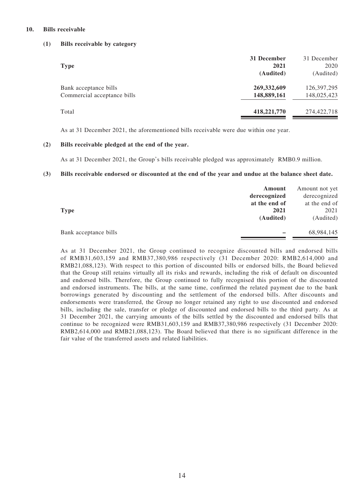#### **10. Bills receivable**

#### **(1) Bills receivable by category**

| <b>Type</b>                                          | 31 December<br>2021<br>(Audited) | 31 December<br>2020<br>(Audited) |
|------------------------------------------------------|----------------------------------|----------------------------------|
| Bank acceptance bills<br>Commercial acceptance bills | 269, 332, 609<br>148,889,161     | 126, 397, 295<br>148,025,423     |
| Total                                                | 418,221,770                      | 274,422,718                      |

As at 31 December 2021, the aforementioned bills receivable were due within one year.

#### **(2) Bills receivable pledged at the end of the year.**

As at 31 December 2021, the Group's bills receivable pledged was approximately RMB0.9 million.

#### **(3) Bills receivable endorsed or discounted at the end of the year and undue at the balance sheet date.**

|                       | Amount<br>derecognized | Amount not yet<br>derecognized |
|-----------------------|------------------------|--------------------------------|
|                       | at the end of          | at the end of                  |
| <b>Type</b>           | 2021                   | 2021                           |
|                       | (Audited)              | (Audited)                      |
| Bank acceptance bills |                        | 68,984,145                     |

As at 31 December 2021, the Group continued to recognize discounted bills and endorsed bills of RMB31,603,159 and RMB37,380,986 respectively (31 December 2020: RMB2,614,000 and RMB21,088,123). With respect to this portion of discounted bills or endorsed bills, the Board believed that the Group still retains virtually all its risks and rewards, including the risk of default on discounted and endorsed bills. Therefore, the Group continued to fully recognised this portion of the discounted and endorsed instruments. The bills, at the same time, confirmed the related payment due to the bank borrowings generated by discounting and the settlement of the endorsed bills. After discounts and endorsements were transferred, the Group no longer retained any right to use discounted and endorsed bills, including the sale, transfer or pledge of discounted and endorsed bills to the third party. As at 31 December 2021, the carrying amounts of the bills settled by the discounted and endorsed bills that continue to be recognized were RMB31,603,159 and RMB37,380,986 respectively (31 December 2020: RMB2,614,000 and RMB21,088,123). The Board believed that there is no significant difference in the fair value of the transferred assets and related liabilities.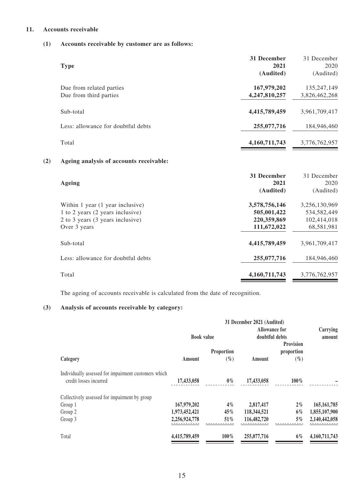#### **11. Accounts receivable**

#### **(1) Accounts receivable by customer are as follows:**

| <b>Type</b>                                        | 31 December<br>2021<br>(Audited) | 31 December<br>2020<br>(Audited) |
|----------------------------------------------------|----------------------------------|----------------------------------|
| Due from related parties<br>Due from third parties | 167,979,202<br>4,247,810,257     | 135,247,149<br>3,826,462,268     |
| Sub-total                                          | 4,415,789,459                    | 3,961,709,417                    |
| Less: allowance for doubtful debts                 | 255,077,716                      | 184,946,460                      |
| Total                                              | 4,160,711,743                    | 3,776,762,957                    |

#### **(2) Ageing analysis of accounts receivable:**

| Ageing                                                                                                                   | 31 December<br>2021<br>(Audited)                           | 31 December<br>2020<br>(Audited)                            |
|--------------------------------------------------------------------------------------------------------------------------|------------------------------------------------------------|-------------------------------------------------------------|
| Within 1 year (1 year inclusive)<br>1 to 2 years (2 years inclusive)<br>2 to 3 years (3 years inclusive)<br>Over 3 years | 3,578,756,146<br>505,001,422<br>220,359,869<br>111,672,022 | 3,256,130,969<br>534, 582, 449<br>102,414,018<br>68,581,981 |
| Sub-total                                                                                                                | 4,415,789,459                                              | 3.961.709.417                                               |
| Less: allowance for doubtful debts                                                                                       | 255,077,716                                                | 184,946,460                                                 |
| Total                                                                                                                    | 4,160,711,743                                              | 3,776,762,957                                               |

The ageing of accounts receivable is calculated from the date of recognition.

### **(3) Analysis of accounts receivable by category:**

| 31 December 2021 (Audited) |            |                   |                  |                                 |
|----------------------------|------------|-------------------|------------------|---------------------------------|
|                            |            |                   |                  | Carrying                        |
|                            |            |                   |                  | amount                          |
|                            |            |                   | <b>Provision</b> |                                 |
|                            | Proportion |                   | proportion       |                                 |
| Amount                     | $(\%)$     | Amount            | $(\%)$           |                                 |
|                            |            |                   |                  |                                 |
| 17,433,058                 | $0\%$      | 17,433,058        | $100\%$          |                                 |
|                            |            |                   |                  |                                 |
| 167,979,202                | $4\%$      | 2,817,417         | $2\%$            | 165, 161, 785                   |
| 1,973,452,421              | 45%        | 118,344,521       | $6\%$            | 1,855,107,900                   |
| 2,256,924,778              | 51%        | 116,482,720       | $5\%$            | 2,140,442,058                   |
| 4,415,789,459              | $100\%$    | 255,077,716       | $6\%$            | 4,160,711,743                   |
|                            |            | <b>Book value</b> |                  | Allowance for<br>doubtful debts |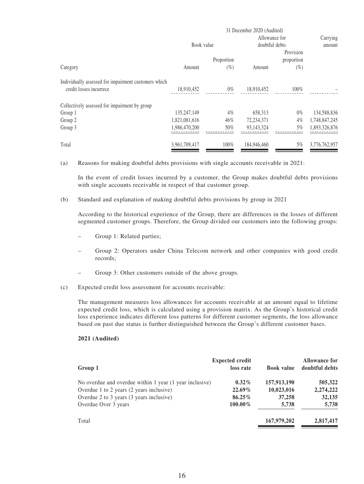|                                                      | 31 December 2020 (Audited) |            |             |                |               |
|------------------------------------------------------|----------------------------|------------|-------------|----------------|---------------|
|                                                      |                            |            |             | Allowance for  | Carrying      |
|                                                      |                            | Book value |             | doubtful debts | amount        |
|                                                      |                            |            |             | Provision      |               |
|                                                      |                            | Proportion |             | proportion     |               |
| Category                                             | Amount                     | $(\%)$     | Amount      | $(\%)$         |               |
| Individually assessed for impairment customers which |                            |            |             |                |               |
| credit losses incurrece                              | 18,910,452                 | $0\%$      | 18,910,452  | 100%           |               |
| Collectively assessed for impairment by group        |                            |            |             |                |               |
| Group 1                                              | 135,247,149                | $4\%$      | 658,313     | $0\%$          | 134,588,836   |
| Group 2                                              | 1,821,081,616              | 46%        | 72,234,371  | $4\%$          | 1,748,847,245 |
| Group 3                                              | 1,986,470,200              | 50%        | 93.143.324  | 5%             | 1,893,326,876 |
|                                                      |                            |            |             |                |               |
| Total                                                | 3,961,709,417              | 100%       | 184,946,460 | 5%             | 3,776,762,957 |

(a) Reasons for making doubtful debts provisions with single accounts receivable in 2021:

In the event of credit losses incurred by a customer, the Group makes doubtful debts provisions with single accounts receivable in respect of that customer group.

(b) Standard and explanation of making doubtful debts provisions by group in 2021

According to the historical experience of the Group, there are differences in the losses of different segmented customer groups. Therefore, the Group divided our customers into the following groups:

- Group 1: Related parties;
- Group 2: Operators under China Telecom network and other companies with good credit records;
- Group 3: Other customers outside of the above groups.
- (c) Expected credit loss assessment for accounts receivable:

The management measures loss allowances for accounts receivable at an amount equal to lifetime expected credit loss, which is calculated using a provision matrix. As the Group's historical credit loss experience indicates different loss patterns for different customer segments, the loss allowance based on past due status is further distinguished between the Group's different customer bases.

#### **2021 (Audited)**

|                                                         | <b>Expected credit</b> |                   | <b>Allowance for</b> |
|---------------------------------------------------------|------------------------|-------------------|----------------------|
| Group 1                                                 | loss rate              | <b>Book value</b> | doubtful debts       |
| No overdue and overdue within 1 year (1 year inclusive) | $0.32\%$               | 157,913,190       | 505,322              |
| Overdue 1 to 2 years (2 years inclusive)                | $22.69\%$              | 10,023,016        | 2,274,222            |
| Overdue 2 to 3 years (3 years inclusive)                | $86.25\%$              | 37,258            | 32,135               |
| Overdue Over 3 years                                    | $100.00\%$             | 5,738             | 5,738                |
| Total                                                   |                        | 167,979,202       | 2,817,417            |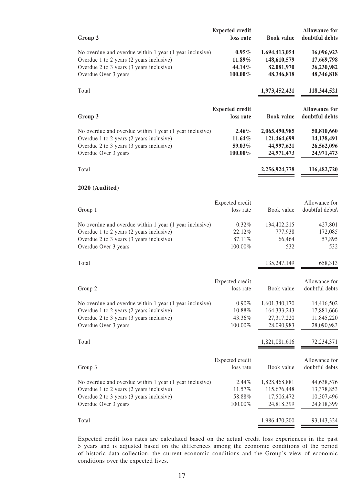| Group 2                                                                                                                                                                 | <b>Expected credit</b><br>loss rate        | <b>Book</b> value                                          | <b>Allowance for</b><br>doubtful debts               |
|-------------------------------------------------------------------------------------------------------------------------------------------------------------------------|--------------------------------------------|------------------------------------------------------------|------------------------------------------------------|
| No overdue and overdue within 1 year (1 year inclusive)<br>Overdue 1 to 2 years (2 years inclusive)<br>Overdue 2 to 3 years (3 years inclusive)<br>Overdue Over 3 years | $0.95\%$<br>11.89%<br>44.14%<br>$100.00\%$ | 1,694,413,054<br>148,610,579<br>82,081,970<br>48,346,818   | 16,096,923<br>17,669,798<br>36,230,982<br>48,346,818 |
| Total                                                                                                                                                                   |                                            | 1,973,452,421                                              | 118,344,521                                          |
| Group 3                                                                                                                                                                 | <b>Expected credit</b><br>loss rate        | <b>Book</b> value                                          | <b>Allowance for</b><br>doubtful debts               |
| No overdue and overdue within 1 year (1 year inclusive)<br>Overdue 1 to 2 years (2 years inclusive)<br>Overdue 2 to 3 years (3 years inclusive)<br>Overdue Over 3 years | $2.46\%$<br>11.64%<br>59.03%<br>100.00%    | 2,065,490,985<br>121,464,699<br>44,997,621<br>24,971,473   | 50,810,660<br>14,138,491<br>26,562,096<br>24,971,473 |
| Total                                                                                                                                                                   |                                            | 2,256,924,778                                              | 116,482,720                                          |
| 2020 (Audited)                                                                                                                                                          |                                            |                                                            |                                                      |
| Group 1                                                                                                                                                                 | Expected credit<br>loss rate               | Book value                                                 | Allowance for<br>doubtful debts\                     |
| No overdue and overdue within 1 year (1 year inclusive)<br>Overdue 1 to 2 years (2 years inclusive)<br>Overdue 2 to 3 years (3 years inclusive)<br>Overdue Over 3 years | 0.32%<br>22.12%<br>87.11%<br>100.00%       | 134,402,215<br>777,938<br>66,464<br>532                    | 427,801<br>172,085<br>57,895<br>532                  |
| Total                                                                                                                                                                   |                                            | 135,247,149                                                | 658,313                                              |
| Group 2                                                                                                                                                                 | Expected credit<br>loss rate               | Book value                                                 | Allowance for<br>doubtful debts                      |
| No overdue and overdue within 1 year (1 year inclusive)<br>Overdue 1 to 2 years (2 years inclusive)<br>Overdue 2 to 3 years (3 years inclusive)<br>Overdue Over 3 years | 0.90%<br>10.88%<br>43.36%<br>100.00%       | 1,601,340,170<br>164, 333, 243<br>27,317,220<br>28,090,983 | 14,416,502<br>17,881,666<br>11,845,220<br>28,090,983 |
| Total                                                                                                                                                                   |                                            | 1,821,081,616                                              | 72,234,371                                           |
| Group 3                                                                                                                                                                 | Expected credit<br>loss rate               | Book value                                                 | Allowance for<br>doubtful debts                      |
| No overdue and overdue within 1 year (1 year inclusive)<br>Overdue 1 to 2 years (2 years inclusive)<br>Overdue 2 to 3 years (3 years inclusive)<br>Overdue Over 3 years | 2.44%<br>11.57%<br>58.88%<br>100.00%       | 1,828,468,881<br>115,676,448<br>17,506,472<br>24,818,399   | 44,638,576<br>13,378,853<br>10,307,496<br>24,818,399 |
| Total                                                                                                                                                                   |                                            | 1,986,470,200                                              | 93, 143, 324                                         |

Expected credit loss rates are calculated based on the actual credit loss experiences in the past 5 years and is adjusted based on the differences among the economic conditions of the period of historic data collection, the current economic conditions and the Group's view of economic conditions over the expected lives.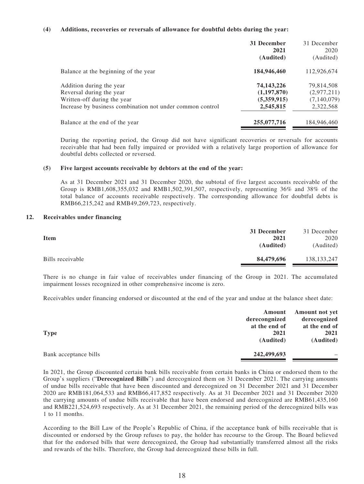#### **(4) Additions, recoveries or reversals of allowance for doubtful debts during the year:**

|                                                           | 31 December<br>2021<br>(Audited) | 31 December<br>2020<br>(Audited) |
|-----------------------------------------------------------|----------------------------------|----------------------------------|
| Balance at the beginning of the year                      | 184,946,460                      | 112,926,674                      |
| Addition during the year                                  | 74, 143, 226                     | 79,814,508                       |
| Reversal during the year                                  | (1,197,870)                      | (2,977,211)                      |
| Written-off during the year                               | (5,359,915)                      | (7,140,079)                      |
| Increase by business combination not under common control | 2,545,815                        | 2,322,568                        |
| Balance at the end of the year                            | 255,077,716                      | 184,946,460                      |

During the reporting period, the Group did not have significant recoveries or reversals for accounts receivable that had been fully impaired or provided with a relatively large proportion of allowance for doubtful debts collected or reversed.

#### **(5) Five largest accounts receivable by debtors at the end of the year:**

As at 31 December 2021 and 31 December 2020, the subtotal of five largest accounts receivable of the Group is RMB1,608,355,032 and RMB1,502,391,507, respectively, representing 36% and 38% of the total balance of accounts receivable respectively. The corresponding allowance for doubtful debts is RMB66,215,242 and RMB49,269,723, respectively.

#### **12. Receivables under financing**

|                  | 31 December | 31 December   |
|------------------|-------------|---------------|
| <b>Item</b>      | 2021        | 2020          |
|                  | (Audited)   | (Audited)     |
| Bills receivable | 84,479,696  | 138, 133, 247 |

There is no change in fair value of receivables under financing of the Group in 2021. The accumulated impairment losses recognized in other comprehensive income is zero.

Receivables under financing endorsed or discounted at the end of the year and undue at the balance sheet date:

|                       | Amount<br>derecongnized | Amount not yet<br>derecognized |
|-----------------------|-------------------------|--------------------------------|
|                       | at the end of           | at the end of                  |
| <b>Type</b>           | 2021                    | 2021                           |
|                       | (Audited)               | (Audited)                      |
| Bank acceptance bills | 242,499,693             |                                |
|                       |                         |                                |

In 2021, the Group discounted certain bank bills receivable from certain banks in China or endorsed them to the Group's suppliers ("**Derecognized Bills**") and derecognized them on 31 December 2021. The carrying amounts of undue bills receivable that have been discounted and derecognized on 31 December 2021 and 31 December 2020 are RMB181,064,533 and RMB66,417,852 respectively. As at 31 December 2021 and 31 December 2020 the carrying amounts of undue bills receivable that have been endorsed and derecognized are RMB61,435,160 and RMB221,524,693 respectively. As at 31 December 2021, the remaining period of the derecognized bills was 1 to 11 months.

According to the Bill Law of the People's Republic of China, if the acceptance bank of bills receivable that is discounted or endorsed by the Group refuses to pay, the holder has recourse to the Group. The Board believed that for the endorsed bills that were derecognized, the Group had substantially transferred almost all the risks and rewards of the bills. Therefore, the Group had derecognized these bills in full.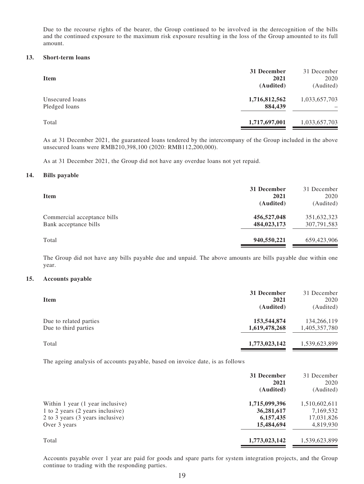Due to the recourse rights of the bearer, the Group continued to be involved in the derecognition of the bills and the continued exposure to the maximum risk exposure resulting in the loss of the Group amounted to its full amount.

#### **13. Short-term loans**

| <b>Item</b>                      | 31 December<br>2021<br>(Audited) | 31 December<br>2020<br>(Audited) |
|----------------------------------|----------------------------------|----------------------------------|
| Unsecured loans<br>Pledged loans | 1,716,812,562<br>884,439         | 1,033,657,703                    |
| Total                            | 1,717,697,001                    | 1,033,657,703                    |

As at 31 December 2021, the guaranteed loans tendered by the intercompany of the Group included in the above unsecured loans were RMB210,398,100 (2020: RMB112,200,000).

As at 31 December 2021, the Group did not have any overdue loans not yet repaid.

#### **14. Bills payable**

| <b>Item</b>                                          | 31 December<br>2021<br>(Audited) | 31 December<br>2020<br>(Audited) |
|------------------------------------------------------|----------------------------------|----------------------------------|
| Commercial acceptance bills<br>Bank acceptance bills | 456,527,048<br>484,023,173       | 351,632,323<br>307,791,583       |
| Total                                                | 940,550,221                      | 659,423,906                      |

The Group did not have any bills payable due and unpaid. The above amounts are bills payable due within one year.

#### **15. Accounts payable**

| <b>Item</b>                                    | 31 December<br>2021<br>(Audited) | 31 December<br>2020<br>(Audited) |
|------------------------------------------------|----------------------------------|----------------------------------|
| Due to related parties<br>Due to third parties | 153,544,874<br>1,619,478,268     | 134,266,119<br>1,405,357,780     |
| Total                                          | 1,773,023,142                    | 1,539,623,899                    |

The ageing analysis of accounts payable, based on invoice date, is as follows

|                                  | 31 December<br>2021<br>(Audited) | 31 December<br>2020<br>(Audited) |
|----------------------------------|----------------------------------|----------------------------------|
| Within 1 year (1 year inclusive) | 1,715,099,396                    | 1,510,602,611                    |
| 1 to 2 years (2 years inclusive) | 36,281,617                       | 7,169,532                        |
| 2 to 3 years (3 years inclusive) | 6, 157, 435                      | 17,031,826                       |
| Over 3 years                     | 15,484,694                       | 4,819,930                        |
| Total                            | 1,773,023,142                    | 1,539,623,899                    |

Accounts payable over 1 year are paid for goods and spare parts for system integration projects, and the Group continue to trading with the responding parties.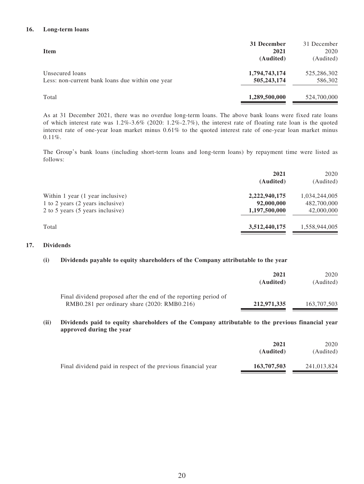#### **16. Long-term loans**

| <b>Item</b>                                      | 31 December<br>2021 | 31 December<br>2020 |
|--------------------------------------------------|---------------------|---------------------|
|                                                  | (Audited)           | (Audited)           |
| Unsecured loans                                  | 1,794,743,174       | 525,286,302         |
| Less: non-current bank loans due within one year | 505,243,174         | 586,302             |
| Total                                            | 1,289,500,000       | 524,700,000         |

As at 31 December 2021, there was no overdue long-term loans. The above bank loans were fixed rate loans of which interest rate was 1.2%-3.6% (2020: 1.2%-2.7%), the interest rate of floating rate loan is the quoted interest rate of one-year loan market minus 0.61% to the quoted interest rate of one-year loan market minus 0.11%.

The Group's bank loans (including short-term loans and long-term loans) by repayment time were listed as follows:

|                                  | 2021<br>(Audited) | 2020<br>(Audited) |
|----------------------------------|-------------------|-------------------|
| Within 1 year (1 year inclusive) | 2,222,940,175     | 1,034,244,005     |
| 1 to 2 years (2 years inclusive) | 92,000,000        | 482,700,000       |
| 2 to 5 years (5 years inclusive) | 1,197,500,000     | 42,000,000        |
| Total                            | 3,512,440,175     | 1,558,944,005     |

#### **17. Dividends**

#### **(i) Dividends payable to equity shareholders of the Company attributable to the year**

|                                                                                                                  | 2021<br>(Audited) | 2020<br>(Audited) |
|------------------------------------------------------------------------------------------------------------------|-------------------|-------------------|
| Final dividend proposed after the end of the reporting period of<br>RMB0.281 per ordinary share (2020: RMB0.216) | 212,971,335       | 163,707,503       |

#### **(ii) Dividends paid to equity shareholders of the Company attributable to the previous financial year approved during the year**

|                                                               | 2021<br>(Audited) | 2020<br>(Audited) |
|---------------------------------------------------------------|-------------------|-------------------|
| Final dividend paid in respect of the previous financial year | 163,707,503       | 241,013,824       |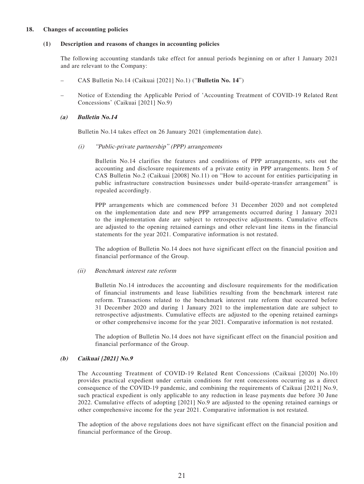#### **18. Changes of accounting policies**

#### **(1) Description and reasons of changes in accounting policies**

The following accounting standards take effect for annual periods beginning on or after 1 January 2021 and are relevant to the Company:

- CAS Bulletin No.14 (Caikuai [2021] No.1) ("**Bulletin No. 14**")
- Notice of Extending the Applicable Period of 'Accounting Treatment of COVID-19 Related Rent Concessions' (Caikuai [2021] No.9)

#### **(a) Bulletin No.14**

Bulletin No.14 takes effect on 26 January 2021 (implementation date).

(i) "Public-private partnership" (PPP) arrangements

Bulletin No.14 clarifies the features and conditions of PPP arrangements, sets out the accounting and disclosure requirements of a private entity in PPP arrangements. Item 5 of CAS Bulletin No.2 (Caikuai [2008] No.11) on "How to account for entities participating in public infrastructure construction businesses under build-operate-transfer arrangement" is repealed accordingly.

PPP arrangements which are commenced before 31 December 2020 and not completed on the implementation date and new PPP arrangements occurred during 1 January 2021 to the implementation date are subject to retrospective adjustments. Cumulative effects are adjusted to the opening retained earnings and other relevant line items in the financial statements for the year 2021. Comparative information is not restated.

The adoption of Bulletin No.14 does not have significant effect on the financial position and financial performance of the Group.

#### (ii) Benchmark interest rate reform

Bulletin No.14 introduces the accounting and disclosure requirements for the modification of financial instruments and lease liabilities resulting from the benchmark interest rate reform. Transactions related to the benchmark interest rate reform that occurred before 31 December 2020 and during 1 January 2021 to the implementation date are subject to retrospective adjustments. Cumulative effects are adjusted to the opening retained earnings or other comprehensive income for the year 2021. Comparative information is not restated.

The adoption of Bulletin No.14 does not have significant effect on the financial position and financial performance of the Group.

#### **(b) Caikuai [2021] No.9**

The Accounting Treatment of COVID-19 Related Rent Concessions (Caikuai [2020] No.10) provides practical expedient under certain conditions for rent concessions occurring as a direct consequence of the COVID-19 pandemic, and combining the requirements of Caikuai [2021] No.9, such practical expedient is only applicable to any reduction in lease payments due before 30 June 2022. Cumulative effects of adopting [2021] No.9 are adjusted to the opening retained earnings or other comprehensive income for the year 2021. Comparative information is not restated.

The adoption of the above regulations does not have significant effect on the financial position and financial performance of the Group.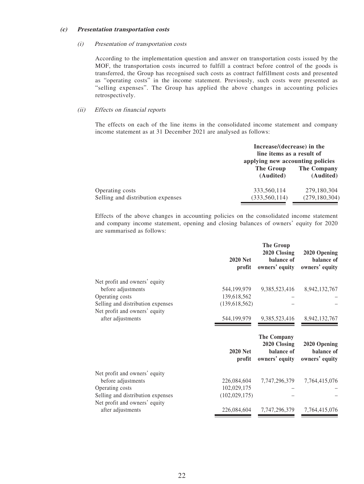#### **(c) Presentation transportation costs**

#### (i) Presentation of transportation costs

According to the implementation question and answer on transportation costs issued by the MOF, the transportation costs incurred to fulfill a contract before control of the goods is transferred, the Group has recognised such costs as contract fulfillment costs and presented as "operating costs" in the income statement. Previously, such costs were presented as "selling expenses". The Group has applied the above changes in accounting policies retrospectively.

#### (ii) Effects on financial reports

The effects on each of the line items in the consolidated income statement and company income statement as at 31 December 2021 are analysed as follows:

|                                                      |                                | Increase/(decrease) in the<br>line items as a result of<br>applying new accounting policies |  |
|------------------------------------------------------|--------------------------------|---------------------------------------------------------------------------------------------|--|
|                                                      | The Group<br>(Audited)         | The Company<br>(Audited)                                                                    |  |
| Operating costs<br>Selling and distribution expenses | 333,560,114<br>(333, 560, 114) | 279,180,304<br>(279, 180, 304)                                                              |  |

Effects of the above changes in accounting policies on the consolidated income statement and company income statement, opening and closing balances of owners' equity for 2020 are summarised as follows:

|                                                                    | <b>2020 Net</b><br>profit | <b>The Group</b><br>2020 Closing<br>balance of<br>owners' equity | 2020 Opening<br>balance of<br>owners' equity |
|--------------------------------------------------------------------|---------------------------|------------------------------------------------------------------|----------------------------------------------|
| Net profit and owners' equity                                      |                           |                                                                  |                                              |
| before adjustments                                                 | 544,199,979               | 9,385,523,416                                                    | 8,942,132,767                                |
| Operating costs                                                    | 139,618,562               |                                                                  |                                              |
| Selling and distribution expenses<br>Net profit and owners' equity | (139, 618, 562)           |                                                                  |                                              |
| after adjustments                                                  | 544,199,979               | 9, 385, 523, 416                                                 | 8,942,132,767                                |
|                                                                    |                           | <b>The Company</b><br>2020 Closing                               | 2020 Opening                                 |
|                                                                    | <b>2020 Net</b><br>profit | balance of<br>owners' equity                                     | balance of<br>owners' equity                 |
| Net profit and owners' equity                                      |                           |                                                                  |                                              |
| before adjustments                                                 | 226,084,604               | 7, 747, 296, 379                                                 | 7, 764, 415, 076                             |
| Operating costs                                                    | 102,029,175               |                                                                  |                                              |
| Selling and distribution expenses                                  | (102, 029, 175)           |                                                                  |                                              |
| Net profit and owners' equity                                      |                           |                                                                  |                                              |
| after adjustments                                                  | 226,084,604               | 7,747,296,379                                                    | 7,764,415,076                                |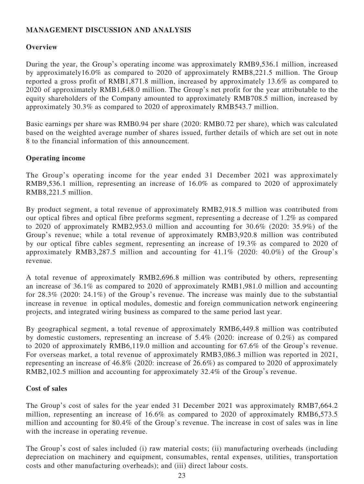# **MANAGEMENT DISCUSSION AND ANALYSIS**

# **Overview**

During the year, the Group's operating income was approximately RMB9,536.1 million, increased by approximately16.0% as compared to 2020 of approximately RMB8,221.5 million. The Group reported a gross profit of RMB1,871.8 million, increased by approximately 13.6% as compared to 2020 of approximately RMB1,648.0 million. The Group's net profit for the year attributable to the equity shareholders of the Company amounted to approximately RMB708.5 million, increased by approximately 30.3% as compared to 2020 of approximately RMB543.7 million.

Basic earnings per share was RMB0.94 per share (2020: RMB0.72 per share), which was calculated based on the weighted average number of shares issued, further details of which are set out in note 8 to the financial information of this announcement.

### **Operating income**

The Group's operating income for the year ended 31 December 2021 was approximately RMB9,536.1 million, representing an increase of 16.0% as compared to 2020 of approximately RMB8,221.5 million.

By product segment, a total revenue of approximately RMB2,918.5 million was contributed from our optical fibres and optical fibre preforms segment, representing a decrease of 1.2% as compared to 2020 of approximately RMB2,953.0 million and accounting for 30.6% (2020: 35.9%) of the Group's revenue; while a total revenue of approximately RMB3,920.8 million was contributed by our optical fibre cables segment, representing an increase of 19.3% as compared to 2020 of approximately RMB3,287.5 million and accounting for 41.1% (2020: 40.0%) of the Group's revenue.

A total revenue of approximately RMB2,696.8 million was contributed by others, representing an increase of 36.1% as compared to 2020 of approximately RMB1,981.0 million and accounting for 28.3% (2020: 24.1%) of the Group's revenue. The increase was mainly due to the substantial increase in revenue in optical modules, domestic and foreign communication network engineering projects, and integrated wiring business as compared to the same period last year.

By geographical segment, a total revenue of approximately RMB6,449.8 million was contributed by domestic customers, representing an increase of 5.4% (2020: increase of 0.2%) as compared to 2020 of approximately RMB6,119.0 million and accounting for 67.6% of the Group's revenue. For overseas market, a total revenue of approximately RMB3,086.3 million was reported in 2021, representing an increase of 46.8% (2020: increase of 26.6%) as compared to 2020 of approximately RMB2,102.5 million and accounting for approximately 32.4% of the Group's revenue.

### **Cost of sales**

The Group's cost of sales for the year ended 31 December 2021 was approximately RMB7,664.2 million, representing an increase of 16.6% as compared to 2020 of approximately RMB6,573.5 million and accounting for 80.4% of the Group's revenue. The increase in cost of sales was in line with the increase in operating revenue.

The Group's cost of sales included (i) raw material costs; (ii) manufacturing overheads (including depreciation on machinery and equipment, consumables, rental expenses, utilities, transportation costs and other manufacturing overheads); and (iii) direct labour costs.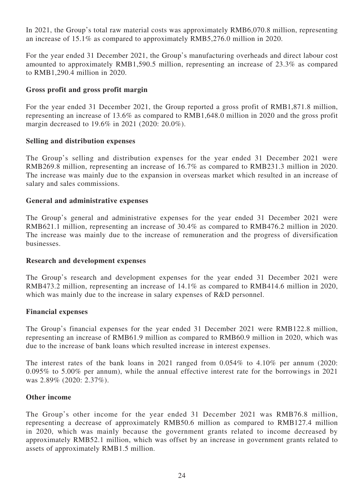In 2021, the Group's total raw material costs was approximately RMB6,070.8 million, representing an increase of 15.1% as compared to approximately RMB5,276.0 million in 2020.

For the year ended 31 December 2021, the Group's manufacturing overheads and direct labour cost amounted to approximately RMB1,590.5 million, representing an increase of 23.3% as compared to RMB1,290.4 million in 2020.

### **Gross profit and gross profit margin**

For the year ended 31 December 2021, the Group reported a gross profit of RMB1,871.8 million, representing an increase of 13.6% as compared to RMB1,648.0 million in 2020 and the gross profit margin decreased to 19.6% in 2021 (2020: 20.0%).

### **Selling and distribution expenses**

The Group's selling and distribution expenses for the year ended 31 December 2021 were RMB269.8 million, representing an increase of 16.7% as compared to RMB231.3 million in 2020. The increase was mainly due to the expansion in overseas market which resulted in an increase of salary and sales commissions.

### **General and administrative expenses**

The Group's general and administrative expenses for the year ended 31 December 2021 were RMB621.1 million, representing an increase of 30.4% as compared to RMB476.2 million in 2020. The increase was mainly due to the increase of remuneration and the progress of diversification businesses.

### **Research and development expenses**

The Group's research and development expenses for the year ended 31 December 2021 were RMB473.2 million, representing an increase of 14.1% as compared to RMB414.6 million in 2020, which was mainly due to the increase in salary expenses of R&D personnel.

### **Financial expenses**

The Group's financial expenses for the year ended 31 December 2021 were RMB122.8 million, representing an increase of RMB61.9 million as compared to RMB60.9 million in 2020, which was due to the increase of bank loans which resulted increase in interest expenses.

The interest rates of the bank loans in 2021 ranged from 0.054% to 4.10% per annum (2020: 0.095% to 5.00% per annum), while the annual effective interest rate for the borrowings in 2021 was 2.89% (2020: 2.37%).

### **Other income**

The Group's other income for the year ended 31 December 2021 was RMB76.8 million, representing a decrease of approximately RMB50.6 million as compared to RMB127.4 million in 2020, which was mainly because the government grants related to income decreased by approximately RMB52.1 million, which was offset by an increase in government grants related to assets of approximately RMB1.5 million.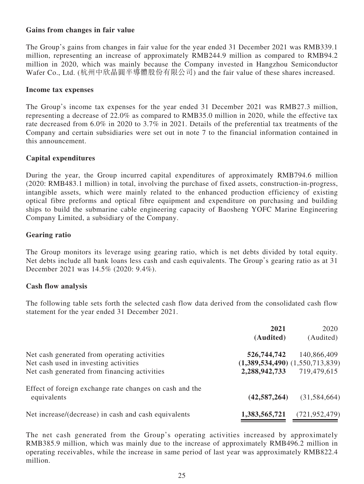### **Gains from changes in fair value**

The Group's gains from changes in fair value for the year ended 31 December 2021 was RMB339.1 million, representing an increase of approximately RMB244.9 million as compared to RMB94.2 million in 2020, which was mainly because the Company invested in Hangzhou Semiconductor Wafer Co., Ltd. (杭州中欣晶圓半導體股份有限公司) and the fair value of these shares increased.

### **Income tax expenses**

The Group's income tax expenses for the year ended 31 December 2021 was RMB27.3 million, representing a decrease of 22.0% as compared to RMB35.0 million in 2020, while the effective tax rate decreased from 6.0% in 2020 to 3.7% in 2021. Details of the preferential tax treatments of the Company and certain subsidiaries were set out in note 7 to the financial information contained in this announcement.

### **Capital expenditures**

During the year, the Group incurred capital expenditures of approximately RMB794.6 million (2020: RMB483.1 million) in total, involving the purchase of fixed assets, construction-in-progress, intangible assets, which were mainly related to the enhanced production efficiency of existing optical fibre preforms and optical fibre equipment and expenditure on purchasing and building ships to build the submarine cable engineering capacity of Baosheng YOFC Marine Engineering Company Limited, a subsidiary of the Company.

### **Gearing ratio**

The Group monitors its leverage using gearing ratio, which is net debts divided by total equity. Net debts include all bank loans less cash and cash equivalents. The Group's gearing ratio as at 31 December 2021 was 14.5% (2020: 9.4%).

### **Cash flow analysis**

The following table sets forth the selected cash flow data derived from the consolidated cash flow statement for the year ended 31 December 2021.

|                                                         | 2021                                | 2020            |
|---------------------------------------------------------|-------------------------------------|-----------------|
|                                                         | (Audited)                           | (Audited)       |
| Net cash generated from operating activities            | 526,744,742                         | 140,866,409     |
| Net cash used in investing activities                   | $(1,389,534,490)$ $(1,550,713,839)$ |                 |
| Net cash generated from financing activities            | 2,288,942,733                       | 719,479,615     |
| Effect of foreign exchange rate changes on cash and the |                                     |                 |
| equivalents                                             | (42, 587, 264)                      | (31,584,664)    |
| Net increase/(decrease) in cash and cash equivalents    | 1,383,565,721                       | (721, 952, 479) |

The net cash generated from the Group's operating activities increased by approximately RMB385.9 million, which was mainly due to the increase of approximately RMB496.2 million in operating receivables, while the increase in same period of last year was approximately RMB822.4 million.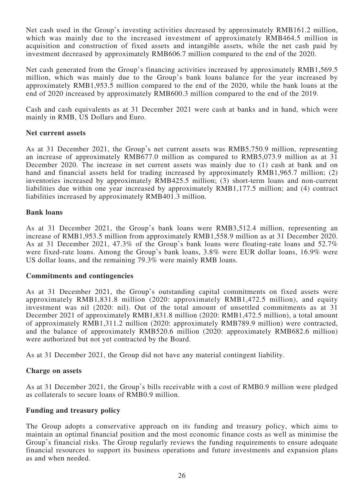Net cash used in the Group's investing activities decreased by approximately RMB161.2 million, which was mainly due to the increased investment of approximately RMB464.5 million in acquisition and construction of fixed assets and intangible assets, while the net cash paid by investment decreased by approximately RMB606.7 million compared to the end of the 2020.

Net cash generated from the Group's financing activities increased by approximately RMB1,569.5 million, which was mainly due to the Group's bank loans balance for the year increased by approximately RMB1,953.5 million compared to the end of the 2020, while the bank loans at the end of 2020 increased by approximately RMB600.3 million compared to the end of the 2019.

Cash and cash equivalents as at 31 December 2021 were cash at banks and in hand, which were mainly in RMB, US Dollars and Euro.

### **Net current assets**

As at 31 December 2021, the Group's net current assets was RMB5,750.9 million, representing an increase of approximately RMB677.0 million as compared to RMB5,073.9 million as at 31 December 2020. The increase in net current assets was mainly due to (1) cash at bank and on hand and financial assets held for trading increased by approximately RMB1,965.7 million; (2) inventories increased by approximately RMB425.5 million; (3) short-term loans and non-current liabilities due within one year increased by approximately RMB1,177.5 million; and (4) contract liabilities increased by approximately RMB401.3 million.

### **Bank loans**

As at 31 December 2021, the Group's bank loans were RMB3,512.4 million, representing an increase of RMB1,953.5 million from approximately RMB1,558.9 million as at 31 December 2020. As at 31 December 2021, 47.3% of the Group's bank loans were floating-rate loans and 52.7% were fixed-rate loans. Among the Group's bank loans, 3.8% were EUR dollar loans, 16.9% were US dollar loans, and the remaining 79.3% were mainly RMB loans.

### **Commitments and contingencies**

As at 31 December 2021, the Group's outstanding capital commitments on fixed assets were approximately RMB1,831.8 million (2020: approximately RMB1,472.5 million), and equity investment was nil (2020: nil). Out of the total amount of unsettled commitments as at 31 December 2021 of approximately RMB1,831.8 million (2020: RMB1,472.5 million), a total amount of approximately RMB1,311.2 million (2020: approximately RMB789.9 million) were contracted, and the balance of approximately RMB520.6 million (2020: approximately RMB682.6 million) were authorized but not yet contracted by the Board.

As at 31 December 2021, the Group did not have any material contingent liability.

### **Charge on assets**

As at 31 December 2021, the Group's bills receivable with a cost of RMB0.9 million were pledged as collaterals to secure loans of RMB0.9 million.

### **Funding and treasury policy**

The Group adopts a conservative approach on its funding and treasury policy, which aims to maintain an optimal financial position and the most economic finance costs as well as minimise the Group's financial risks. The Group regularly reviews the funding requirements to ensure adequate financial resources to support its business operations and future investments and expansion plans as and when needed.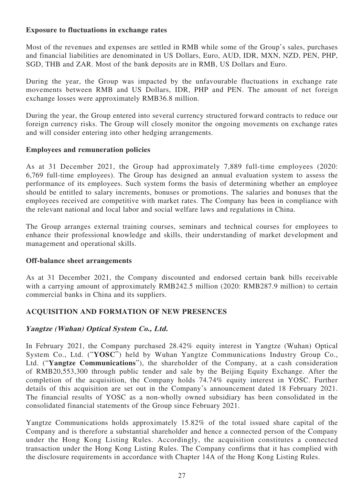## **Exposure to fluctuations in exchange rates**

Most of the revenues and expenses are settled in RMB while some of the Group's sales, purchases and financial liabilities are denominated in US Dollars, Euro, AUD, IDR, MXN, NZD, PEN, PHP, SGD, THB and ZAR. Most of the bank deposits are in RMB, US Dollars and Euro.

During the year, the Group was impacted by the unfavourable fluctuations in exchange rate movements between RMB and US Dollars, IDR, PHP and PEN. The amount of net foreign exchange losses were approximately RMB36.8 million.

During the year, the Group entered into several currency structured forward contracts to reduce our foreign currency risks. The Group will closely monitor the ongoing movements on exchange rates and will consider entering into other hedging arrangements.

### **Employees and remuneration policies**

As at 31 December 2021, the Group had approximately 7,889 full-time employees (2020: 6,769 full-time employees). The Group has designed an annual evaluation system to assess the performance of its employees. Such system forms the basis of determining whether an employee should be entitled to salary increments, bonuses or promotions. The salaries and bonuses that the employees received are competitive with market rates. The Company has been in compliance with the relevant national and local labor and social welfare laws and regulations in China.

The Group arranges external training courses, seminars and technical courses for employees to enhance their professional knowledge and skills, their understanding of market development and management and operational skills.

### **Off-balance sheet arrangements**

As at 31 December 2021, the Company discounted and endorsed certain bank bills receivable with a carrying amount of approximately RMB242.5 million (2020: RMB287.9 million) to certain commercial banks in China and its suppliers.

# **ACQUISITION AND FORMATION OF NEW PRESENCES**

# **Yangtze (Wuhan) Optical System Co., Ltd.**

In February 2021, the Company purchased 28.42% equity interest in Yangtze (Wuhan) Optical System Co., Ltd. ("**YOSC**") held by Wuhan Yangtze Communications Industry Group Co., Ltd. ("**Yangtze Communications**"), the shareholder of the Company, at a cash consideration of RMB20,553,300 through public tender and sale by the Beijing Equity Exchange. After the completion of the acquisition, the Company holds 74.74% equity interest in YOSC. Further details of this acquisition are set out in the Company's announcement dated 18 February 2021. The financial results of YOSC as a non-wholly owned subsidiary has been consolidated in the consolidated financial statements of the Group since February 2021.

Yangtze Communications holds approximately 15.82% of the total issued share capital of the Company and is therefore a substantial shareholder and hence a connected person of the Company under the Hong Kong Listing Rules. Accordingly, the acquisition constitutes a connected transaction under the Hong Kong Listing Rules. The Company confirms that it has complied with the disclosure requirements in accordance with Chapter 14A of the Hong Kong Listing Rules.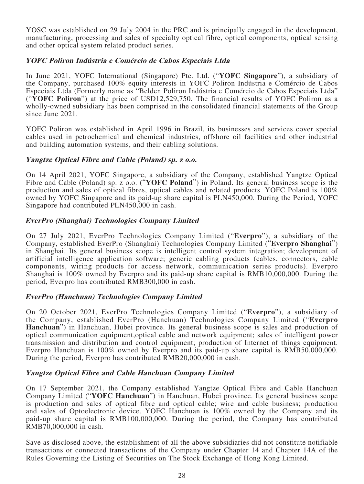YOSC was established on 29 July 2004 in the PRC and is principally engaged in the development, manufacturing, processing and sales of specialty optical fibre, optical components, optical sensing and other optical system related product series.

### **YOFC Poliron Indústria e Comércio de Cabos Especiais Ltda**

In June 2021, YOFC International (Singapore) Pte. Ltd. ("**YOFC Singapore**"), a subsidiary of the Company, purchased 100% equity interests in YOFC Poliron Indústria e Comércio de Cabos Especiais Ltda (Formerly name as "Belden Poliron Indústria e Comércio de Cabos Especiais Ltda" ("**YOFC Poliron**") at the price of USD12,529,750. The financial results of YOFC Poliron as a wholly-owned subsidiary has been comprised in the consolidated financial statements of the Group since June 2021.

YOFC Poliron was established in April 1996 in Brazil, its businesses and services cover special cables used in petrochemical and chemical industries, offshore oil facilities and other industrial and building automation systems, and their cabling solutions.

### **Yangtze Optical Fibre and Cable (Poland) sp. z o.o.**

On 14 April 2021, YOFC Singapore, a subsidiary of the Company, established Yangtze Optical Fibre and Cable (Poland) sp. z o.o. ("**YOFC Poland**") in Poland. Its general business scope is the production and sales of optical fibres, optical cables and related products. YOFC Poland is 100% owned by YOFC Singapore and its paid-up share capital is PLN450,000. During the Period, YOFC Singapore had contributed PLN450,000 in cash.

### **EverPro (Shanghai) Technologies Company Limited**

On 27 July 2021, EverPro Technologies Company Limited ("**Everpro**"), a subsidiary of the Company, established EverPro (Shanghai) Technologies Company Limited ("**Everpro Shanghai**") in Shanghai. Its general business scope is intelligent control system integration; development of artificial intelligence application software; generic cabling products (cables, connectors, cable components, wiring products for access network, communication series products). Everpro Shanghai is 100% owned by Everpro and its paid-up share capital is RMB10,000,000. During the period, Everpro has contributed RMB300,000 in cash.

### **EverPro (Hanchuan) Technologies Company Limited**

On 20 October 2021, EverPro Technologies Company Limited ("**Everpro**"), a subsidiary of the Company, established EverPro (Hanchuan) Technologies Company Limited ("**Everpro Hanchuan**") in Hanchuan, Hubei province. Its general business scope is sales and production of optical communication equipment,optical cable and network equipment; sales of intelligent power transmission and distribution and control equipment; production of Internet of things equipment. Everpro Hanchuan is 100% owned by Everpro and its paid-up share capital is RMB50,000,000. During the period, Everpro has contributed RMB20,000,000 in cash.

### **Yangtze Optical Fibre and Cable Hanchuan Company Limited**

On 17 September 2021, the Company established Yangtze Optical Fibre and Cable Hanchuan Company Limited ("**YOFC Hanchuan**") in Hanchuan, Hubei province. Its general business scope is production and sales of optical fibre and optical cable; wire and cable business; production and sales of Optoelectronic device. YOFC Hanchuan is 100% owned by the Company and its paid-up share capital is RMB100,000,000. During the period, the Company has contributed RMB70,000,000 in cash.

Save as disclosed above, the establishment of all the above subsidiaries did not constitute notifiable transactions or connected transactions of the Company under Chapter 14 and Chapter 14A of the Rules Governing the Listing of Securities on The Stock Exchange of Hong Kong Limited.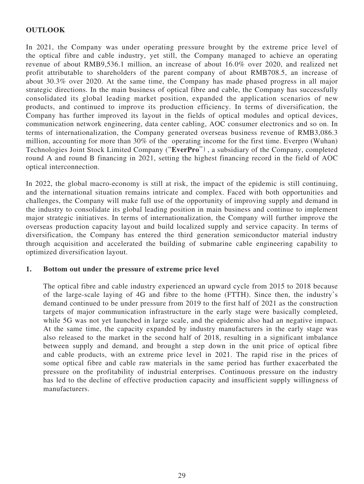# **OUTLOOK**

In 2021, the Company was under operating pressure brought by the extreme price level of the optical fibre and cable industry, yet still, the Company managed to achieve an operating revenue of about RMB9,536.1 million, an increase of about 16.0% over 2020, and realized net profit attributable to shareholders of the parent company of about RMB708.5, an increase of about 30.3% over 2020. At the same time, the Company has made phased progress in all major strategic directions. In the main business of optical fibre and cable, the Company has successfully consolidated its global leading market position, expanded the application scenarios of new products, and continued to improve its production efficiency. In terms of diversification, the Company has further improved its layout in the fields of optical modules and optical devices, communication network engineering, data center cabling, AOC consumer electronics and so on. In terms of internationalization, the Company generated overseas business revenue of RMB3,086.3 million, accounting for more than 30% of the operating income for the first time. Everpro (Wuhan) Technologies Joint Stock Limited Company ("**EverPro**"), a subsidiary of the Company, completed round A and round B financing in 2021, setting the highest financing record in the field of AOC optical interconnection.

In 2022, the global macro-economy is still at risk, the impact of the epidemic is still continuing, and the international situation remains intricate and complex. Faced with both opportunities and challenges, the Company will make full use of the opportunity of improving supply and demand in the industry to consolidate its global leading position in main business and continue to implement major strategic initiatives. In terms of internationalization, the Company will further improve the overseas production capacity layout and build localized supply and service capacity. In terms of diversification, the Company has entered the third generation semiconductor material industry through acquisition and accelerated the building of submarine cable engineering capability to optimized diversification layout.

### **1. Bottom out under the pressure of extreme price level**

The optical fibre and cable industry experienced an upward cycle from 2015 to 2018 because of the large-scale laying of 4G and fibre to the home (FTTH). Since then, the industry's demand continued to be under pressure from 2019 to the first half of 2021 as the construction targets of major communication infrastructure in the early stage were basically completed, while 5G was not yet launched in large scale, and the epidemic also had an negative impact. At the same time, the capacity expanded by industry manufacturers in the early stage was also released to the market in the second half of 2018, resulting in a significant imbalance between supply and demand, and brought a step down in the unit price of optical fibre and cable products, with an extreme price level in 2021. The rapid rise in the prices of some optical fibre and cable raw materials in the same period has further exacerbated the pressure on the profitability of industrial enterprises. Continuous pressure on the industry has led to the decline of effective production capacity and insufficient supply willingness of manufacturers.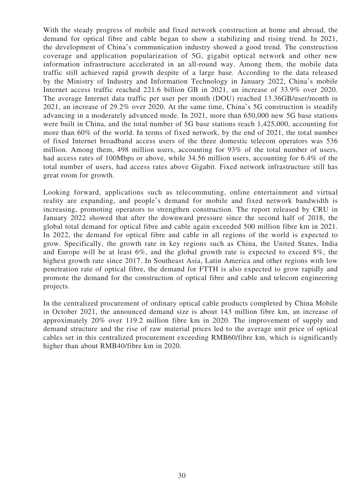With the steady progress of mobile and fixed network construction at home and abroad, the demand for optical fibre and cable began to show a stabilizing and rising trend. In 2021, the development of China's communication industry showed a good trend. The construction coverage and application popularization of 5G, gigabit optical network and other new information infrastructure accelerated in an all-round way. Among them, the mobile data traffic still achieved rapid growth despite of a large base. According to the data released by the Ministry of Industry and Information Technology in January 2022, China's mobile Internet access traffic reached 221.6 billion GB in 2021, an increase of 33.9% over 2020. The average Internet data traffic per user per month (DOU) reached 13.36GB/user/month in 2021, an increase of 29.2% over 2020. At the same time, China's 5G construction is steadily advancing in a moderately advanced mode. In 2021, more than 650,000 new 5G base stations were built in China, and the total number of 5G base stations reach 1,425,000, accounting for more than 60% of the world. In terms of fixed network, by the end of 2021, the total number of fixed Internet broadband access users of the three domestic telecom operators was 536 million. Among them, 498 million users, accounting for 93% of the total number of users, had access rates of 100Mbps or above, while 34.56 million users, accounting for 6.4% of the total number of users, had access rates above Gigabit. Fixed network infrastructure still has great room for growth.

Looking forward, applications such as telecommuting, online entertainment and virtual reality are expanding, and people's demand for mobile and fixed network bandwidth is increasing, promoting operators to strengthen construction. The report released by CRU in January 2022 showed that after the downward pressure since the second half of 2018, the global total demand for optical fibre and cable again exceeded 500 million fibre km in 2021. In 2022, the demand for optical fibre and cable in all regions of the world is expected to grow. Specifically, the growth rate in key regions such as China, the United States, India and Europe will be at least 6%, and the global growth rate is expected to exceed 8%, the highest growth rate since 2017. In Southeast Asia, Latin America and other regions with low penetration rate of optical fibre, the demand for FTTH is also expected to grow rapidly and promote the demand for the construction of optical fibre and cable and telecom engineering projects.

In the centralized procurement of ordinary optical cable products completed by China Mobile in October 2021, the announced demand size is about 143 million fibre km, an increase of approximately 20% over 119.2 million fibre km in 2020. The improvement of supply and demand structure and the rise of raw material prices led to the average unit price of optical cables set in this centralized procurement exceeding RMB60/fibre km, which is significantly higher than about RMB40/fibre km in 2020.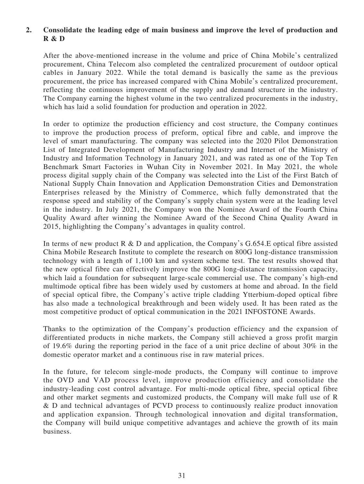# **2. Consolidate the leading edge of main business and improve the level of production and R & D**

After the above-mentioned increase in the volume and price of China Mobile's centralized procurement, China Telecom also completed the centralized procurement of outdoor optical cables in January 2022. While the total demand is basically the same as the previous procurement, the price has increased compared with China Mobile's centralized procurement, reflecting the continuous improvement of the supply and demand structure in the industry. The Company earning the highest volume in the two centralized procurements in the industry, which has laid a solid foundation for production and operation in 2022.

In order to optimize the production efficiency and cost structure, the Company continues to improve the production process of preform, optical fibre and cable, and improve the level of smart manufacturing. The company was selected into the 2020 Pilot Demonstration List of Integrated Development of Manufacturing Industry and Internet of the Ministry of Industry and Information Technology in January 2021, and was rated as one of the Top Ten Benchmark Smart Factories in Wuhan City in November 2021. In May 2021, the whole process digital supply chain of the Company was selected into the List of the First Batch of National Supply Chain Innovation and Application Demonstration Cities and Demonstration Enterprises released by the Ministry of Commerce, which fully demonstrated that the response speed and stability of the Company's supply chain system were at the leading level in the industry. In July 2021, the Company won the Nominee Award of the Fourth China Quality Award after winning the Nominee Award of the Second China Quality Award in 2015, highlighting the Company's advantages in quality control.

In terms of new product R & D and application, the Company's  $G.654.E$  optical fibre assisted China Mobile Research Institute to complete the research on 800G long-distance transmission technology with a length of 1,100 km and system scheme test. The test results showed that the new optical fibre can effectively improve the 800G long-distance transmission capacity, which laid a foundation for subsequent large-scale commercial use. The company's high-end multimode optical fibre has been widely used by customers at home and abroad. In the field of special optical fibre, the Company's active triple cladding Ytterbium-doped optical fibre has also made a technological breakthrough and been widely used. It has been rated as the most competitive product of optical communication in the 2021 INFOSTONE Awards.

Thanks to the optimization of the Company's production efficiency and the expansion of differentiated products in niche markets, the Company still achieved a gross profit margin of 19.6% during the reporting period in the face of a unit price decline of about 30% in the domestic operator market and a continuous rise in raw material prices.

In the future, for telecom single-mode products, the Company will continue to improve the OVD and VAD process level, improve production efficiency and consolidate the industry-leading cost control advantage. For multi-mode optical fibre, special optical fibre and other market segments and customized products, the Company will make full use of R & D and technical advantages of PCVD process to continuously realize product innovation and application expansion. Through technological innovation and digital transformation, the Company will build unique competitive advantages and achieve the growth of its main business.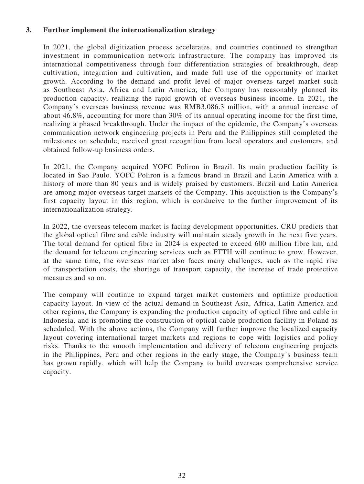### **3. Further implement the internationalization strategy**

In 2021, the global digitization process accelerates, and countries continued to strengthen investment in communication network infrastructure. The company has improved its international competitiveness through four differentiation strategies of breakthrough, deep cultivation, integration and cultivation, and made full use of the opportunity of market growth. According to the demand and profit level of major overseas target market such as Southeast Asia, Africa and Latin America, the Company has reasonably planned its production capacity, realizing the rapid growth of overseas business income. In 2021, the Company's overseas business revenue was RMB3,086.3 million, with a annual increase of about 46.8%, accounting for more than 30% of its annual operating income for the first time, realizing a phased breakthrough. Under the impact of the epidemic, the Company's overseas communication network engineering projects in Peru and the Philippines still completed the milestones on schedule, received great recognition from local operators and customers, and obtained follow-up business orders.

In 2021, the Company acquired YOFC Poliron in Brazil. Its main production facility is located in Sao Paulo. YOFC Poliron is a famous brand in Brazil and Latin America with a history of more than 80 years and is widely praised by customers. Brazil and Latin America are among major overseas target markets of the Company. This acquisition is the Company's first capacity layout in this region, which is conducive to the further improvement of its internationalization strategy.

In 2022, the overseas telecom market is facing development opportunities. CRU predicts that the global optical fibre and cable industry will maintain steady growth in the next five years. The total demand for optical fibre in 2024 is expected to exceed 600 million fibre km, and the demand for telecom engineering services such as FTTH will continue to grow. However, at the same time, the overseas market also faces many challenges, such as the rapid rise of transportation costs, the shortage of transport capacity, the increase of trade protective measures and so on.

The company will continue to expand target market customers and optimize production capacity layout. In view of the actual demand in Southeast Asia, Africa, Latin America and other regions, the Company is expanding the production capacity of optical fibre and cable in Indonesia, and is promoting the construction of optical cable production facility in Poland as scheduled. With the above actions, the Company will further improve the localized capacity layout covering international target markets and regions to cope with logistics and policy risks. Thanks to the smooth implementation and delivery of telecom engineering projects in the Philippines, Peru and other regions in the early stage, the Company's business team has grown rapidly, which will help the Company to build overseas comprehensive service capacity.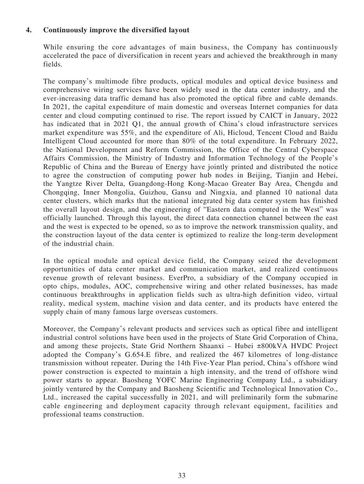# **4. Continuously improve the diversified layout**

While ensuring the core advantages of main business, the Company has continuously accelerated the pace of diversification in recent years and achieved the breakthrough in many fields.

The company's multimode fibre products, optical modules and optical device business and comprehensive wiring services have been widely used in the data center industry, and the ever-increasing data traffic demand has also promoted the optical fibre and cable demands. In 2021, the capital expenditure of main domestic and overseas Internet companies for data center and cloud computing continued to rise. The report issued by CAICT in January, 2022 has indicated that in 2021 Q1, the annual growth of China's cloud infrastructure services market expenditure was 55%, and the expenditure of Ali, Hicloud, Tencent Cloud and Baidu Intelligent Cloud accounted for more than 80% of the total expenditure. In February 2022, the National Development and Reform Commission, the Office of the Central Cyberspace Affairs Commission, the Ministry of Industry and Information Technology of the People's Republic of China and the Bureau of Energy have jointly printed and distributed the notice to agree the construction of computing power hub nodes in Beijing, Tianjin and Hebei, the Yangtze River Delta, Guangdong-Hong Kong-Macao Greater Bay Area, Chengdu and Chongqing, Inner Mongolia, Guizhou, Gansu and Ningxia, and planned 10 national data center clusters, which marks that the national integrated big data center system has finished the overall layout design, and the engineering of "Eastern data computed in the West" was officially launched. Through this layout, the direct data connection channel between the east and the west is expected to be opened, so as to improve the network transmission quality, and the construction layout of the data center is optimized to realize the long-term development of the industrial chain.

In the optical module and optical device field, the Company seized the development opportunities of data center market and communication market, and realized continuous revenue growth of relevant business. EverPro, a subsidiary of the Company occupied in opto chips, modules, AOC, comprehensive wiring and other related businesses, has made continuous breakthroughs in application fields such as ultra-high definition video, virtual reality, medical system, machine vision and data center, and its products have entered the supply chain of many famous large overseas customers.

Moreover, the Company's relevant products and services such as optical fibre and intelligent industrial control solutions have been used in the projects of State Grid Corporation of China, and among these projects, State Grid Northern Shaanxi – Hubei ±800kVA HVDC Project adopted the Company's G.654.E fibre, and realized the 467 kilometres of long-distance transmission without repeater. During the 14th Five-Year Plan period, China's offshore wind power construction is expected to maintain a high intensity, and the trend of offshore wind power starts to appear. Baosheng YOFC Marine Engineering Company Ltd., a subsidiary jointly ventured by the Company and Baosheng Scientific and Technological Innovation Co., Ltd., increased the capital successfully in 2021, and will preliminarily form the submarine cable engineering and deployment capacity through relevant equipment, facilities and professional teams construction.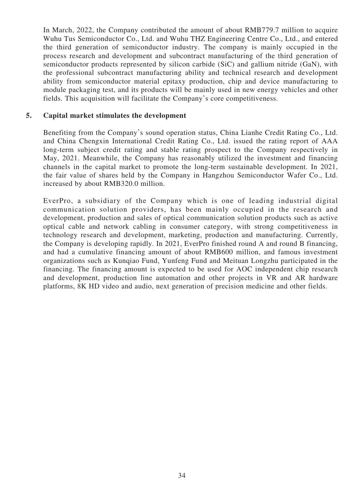In March, 2022, the Company contributed the amount of about RMB779.7 million to acquire Wuhu Tus Semiconductor Co., Ltd. and Wuhu THZ Engineering Centre Co., Ltd., and entered the third generation of semiconductor industry. The company is mainly occupied in the process research and development and subcontract manufacturing of the third generation of semiconductor products represented by silicon carbide (SiC) and gallium nitride (GaN), with the professional subcontract manufacturing ability and technical research and development ability from semiconductor material epitaxy production, chip and device manufacturing to module packaging test, and its products will be mainly used in new energy vehicles and other fields. This acquisition will facilitate the Company's core competitiveness.

### **5. Capital market stimulates the development**

Benefiting from the Company's sound operation status, China Lianhe Credit Rating Co., Ltd. and China Chengxin International Credit Rating Co., Ltd. issued the rating report of AAA long-term subject credit rating and stable rating prospect to the Company respectively in May, 2021. Meanwhile, the Company has reasonably utilized the investment and financing channels in the capital market to promote the long-term sustainable development. In 2021, the fair value of shares held by the Company in Hangzhou Semiconductor Wafer Co., Ltd. increased by about RMB320.0 million.

EverPro, a subsidiary of the Company which is one of leading industrial digital communication solution providers, has been mainly occupied in the research and development, production and sales of optical communication solution products such as active optical cable and network cabling in consumer category, with strong competitiveness in technology research and development, marketing, production and manufacturing. Currently, the Company is developing rapidly. In 2021, EverPro finished round A and round B financing, and had a cumulative financing amount of about RMB600 million, and famous investment organizations such as Kunqiao Fund, Yunfeng Fund and Meituan Longzhu participated in the financing. The financing amount is expected to be used for AOC independent chip research and development, production line automation and other projects in VR and AR hardware platforms, 8K HD video and audio, next generation of precision medicine and other fields.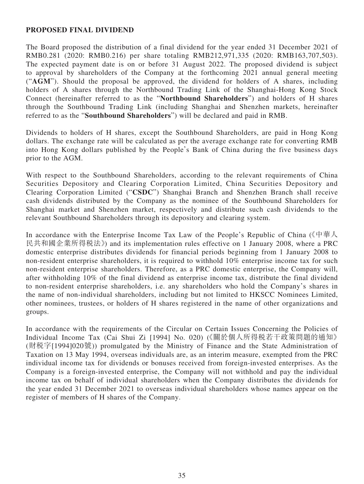### **PROPOSED FINAL DIVIDEND**

The Board proposed the distribution of a final dividend for the year ended 31 December 2021 of RMB0.281 (2020: RMB0.216) per share totaling RMB212,971,335 (2020: RMB163,707,503). The expected payment date is on or before 31 August 2022. The proposed dividend is subject to approval by shareholders of the Company at the forthcoming 2021 annual general meeting ("**AGM**"). Should the proposal be approved, the dividend for holders of A shares, including holders of A shares through the Northbound Trading Link of the Shanghai-Hong Kong Stock Connect (hereinafter referred to as the "**Northbound Shareholders**") and holders of H shares through the Southbound Trading Link (including Shanghai and Shenzhen markets, hereinafter referred to as the "**Southbound Shareholders**") will be declared and paid in RMB.

Dividends to holders of H shares, except the Southbound Shareholders, are paid in Hong Kong dollars. The exchange rate will be calculated as per the average exchange rate for converting RMB into Hong Kong dollars published by the People's Bank of China during the five business days prior to the AGM.

With respect to the Southbound Shareholders, according to the relevant requirements of China Securities Depository and Clearing Corporation Limited, China Securities Depository and Clearing Corporation Limited ("**CSDC**") Shanghai Branch and Shenzhen Branch shall receive cash dividends distributed by the Company as the nominee of the Southbound Shareholders for Shanghai market and Shenzhen market, respectively and distribute such cash dividends to the relevant Southbound Shareholders through its depository and clearing system.

In accordance with the Enterprise Income Tax Law of the People's Republic of China (《中華人 民共和國企業所得稅法》) and its implementation rules effective on 1 January 2008, where a PRC domestic enterprise distributes dividends for financial periods beginning from 1 January 2008 to non-resident enterprise shareholders, it is required to withhold 10% enterprise income tax for such non-resident enterprise shareholders. Therefore, as a PRC domestic enterprise, the Company will, after withholding 10% of the final dividend as enterprise income tax, distribute the final dividend to non-resident enterprise shareholders, i.e. any shareholders who hold the Company's shares in the name of non-individual shareholders, including but not limited to HKSCC Nominees Limited, other nominees, trustees, or holders of H shares registered in the name of other organizations and groups.

In accordance with the requirements of the Circular on Certain Issues Concerning the Policies of Individual Income Tax (Cai Shui Zi [1994] No. 020) (《關於個人所得稅若干政策問題的通知》 (財稅字[1994]020號)) promulgated by the Ministry of Finance and the State Administration of Taxation on 13 May 1994, overseas individuals are, as an interim measure, exempted from the PRC individual income tax for dividends or bonuses received from foreign-invested enterprises. As the Company is a foreign-invested enterprise, the Company will not withhold and pay the individual income tax on behalf of individual shareholders when the Company distributes the dividends for the year ended 31 December 2021 to overseas individual shareholders whose names appear on the register of members of H shares of the Company.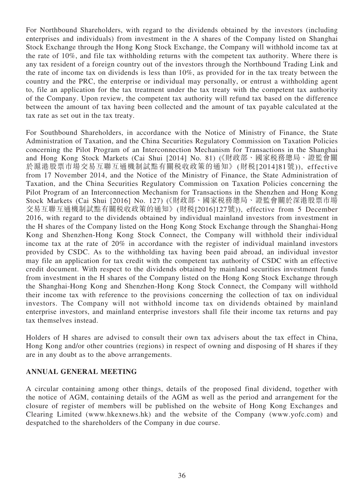For Northbound Shareholders, with regard to the dividends obtained by the investors (including enterprises and individuals) from investment in the A shares of the Company listed on Shanghai Stock Exchange through the Hong Kong Stock Exchange, the Company will withhold income tax at the rate of 10%, and file tax withholding returns with the competent tax authority. Where there is any tax resident of a foreign country out of the investors through the Northbound Trading Link and the rate of income tax on dividends is less than 10%, as provided for in the tax treaty between the country and the PRC, the enterprise or individual may personally, or entrust a withholding agent to, file an application for the tax treatment under the tax treaty with the competent tax authority of the Company. Upon review, the competent tax authority will refund tax based on the difference between the amount of tax having been collected and the amount of tax payable calculated at the tax rate as set out in the tax treaty.

For Southbound Shareholders, in accordance with the Notice of Ministry of Finance, the State Administration of Taxation, and the China Securities Regulatory Commission on Taxation Policies concerning the Pilot Program of an Interconnection Mechanism for Transactions in the Shanghai and Hong Kong Stock Markets (Cai Shui [2014] No. 81) (《財政部、國家稅務總局、證監會關 於滬港股票市場交易互聯互通機制試點有關稅收政策的通知》 (財稅[2014]81號)), effective from 17 November 2014, and the Notice of the Ministry of Finance, the State Administration of Taxation, and the China Securities Regulatory Commission on Taxation Policies concerning the Pilot Program of an Interconnection Mechanism for Transactions in the Shenzhen and Hong Kong Stock Markets (Cai Shui [2016] No. 127) (《財政部、國家稅務總局、證監會關於深港股票市場 交易互聯互通機制試點有關稅收政策的通知》 (財稅[2016]127號)), effective from 5 December 2016, with regard to the dividends obtained by individual mainland investors from investment in the H shares of the Company listed on the Hong Kong Stock Exchange through the Shanghai-Hong Kong and Shenzhen-Hong Kong Stock Connect, the Company will withhold their individual income tax at the rate of 20% in accordance with the register of individual mainland investors provided by CSDC. As to the withholding tax having been paid abroad, an individual investor may file an application for tax credit with the competent tax authority of CSDC with an effective credit document. With respect to the dividends obtained by mainland securities investment funds from investment in the H shares of the Company listed on the Hong Kong Stock Exchange through the Shanghai-Hong Kong and Shenzhen-Hong Kong Stock Connect, the Company will withhold their income tax with reference to the provisions concerning the collection of tax on individual investors. The Company will not withhold income tax on dividends obtained by mainland enterprise investors, and mainland enterprise investors shall file their income tax returns and pay tax themselves instead.

Holders of H shares are advised to consult their own tax advisers about the tax effect in China, Hong Kong and/or other countries (regions) in respect of owning and disposing of H shares if they are in any doubt as to the above arrangements.

### **ANNUAL GENERAL MEETING**

A circular containing among other things, details of the proposed final dividend, together with the notice of AGM, containing details of the AGM as well as the period and arrangement for the closure of register of members will be published on the website of Hong Kong Exchanges and Clearing Limited (www.hkexnews.hk) and the website of the Company (www.yofc.com) and despatched to the shareholders of the Company in due course.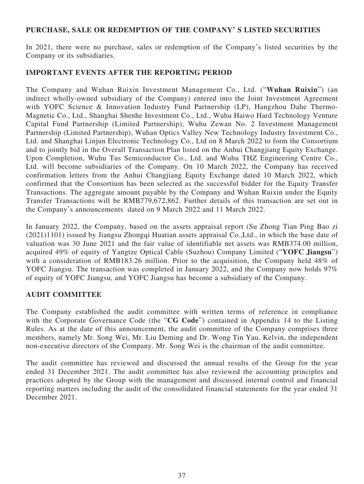### **PURCHASE, SALE OR REDEMPTION OF THE COMPANY' S LISTED SECURITIES**

In 2021, there were no purchase, sales or redemption of the Company's listed securities by the Company or its subsidiaries.

## **IMPORTANT EVENTS AFTER THE REPORTING PERIOD**

The Company and Wuhan Ruixin Investment Management Co., Ltd. ("**Wuhan Ruixin**") (an indirect wholly-owned subsidiary of the Company) entered into the Joint Investment Agreement with YOFC Science & Innovation Industry Fund Partnership (LP), Hangzhou Dahe Thermo-Magnetic Co., Ltd., Shanghai Shenhe Investment Co., Ltd., Wuhu Haiwo Hard Technology Venture Capital Fund Partnership (Limited Partnership), Wuhu Zewan No. 2 Investment Management Partnership (Limited Partnership), Wuhan Optics Valley New Technology Industry Investment Co., Ltd. and Shanghai Linjun Electronic Technology Co., Ltd on 8 March 2022 to form the Consortium and to jointly bid in the Overall Transaction Plan listed on the Anhui Changjiang Equity Exchange. Upon Completion, Wuhu Tus Semiconductor Co., Ltd. and Wuhu THZ Engineering Centre Co., Ltd. will become subsidiaries of the Company. On 10 March 2022, the Company has received confirmation letters from the Anhui Changjiang Equity Exchange dated 10 March 2022, which confirmed that the Consortium has been selected as the successful bidder for the Equity Transfer Transactions. The aggregate amount payable by the Company and Wuhan Ruixin under the Equity Transfer Transactions will be RMB779,672,862. Further details of this transaction are set out in the Company's announcements dated on 9 March 2022 and 11 March 2022.

In January 2022, the Company, based on the assets appraisal report (Su Zhong Tian Ping Bao zi (2021)1101) issued by Jiangsu Zhongqi Huatian assets appraisal Co.,Ltd., in which the base date of valuation was 30 June 2021 and the fair value of identifiable net assets was RMB374.00 million, acquired 49% of equity of Yangtze Optical Cable (Suzhou) Company Limited ("**YOFC Jiangsu**") with a consideration of RMB183.26 million. Prior to the acquisition, the Company held 48% of YOFC Jiangsu. The transaction was completed in January 2022, and the Company now holds 97% of equity of YOFC Jiangsu, and YOFC Jiangsu has become a subsidiary of the Company.

# **AUDIT COMMITTEE**

The Company established the audit committee with written terms of reference in compliance with the Corporate Governance Code (the "**CG Code**") contained in Appendix 14 to the Listing Rules. As at the date of this announcement, the audit committee of the Company comprises three members, namely Mr. Song Wei, Mr. Liu Deming and Dr. Wong Tin Yau, Kelvin, the independent non-executive directors of the Company. Mr. Song Wei is the chairman of the audit committee.

The audit committee has reviewed and discussed the annual results of the Group for the year ended 31 December 2021. The audit committee has also reviewed the accounting principles and practices adopted by the Group with the management and discussed internal control and financial reporting matters including the audit of the consolidated financial statements for the year ended 31 December 2021.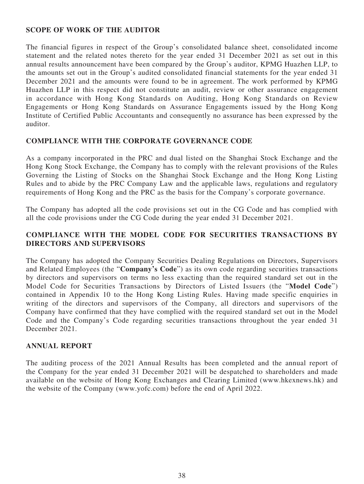### **SCOPE OF WORK OF THE AUDITOR**

The financial figures in respect of the Group's consolidated balance sheet, consolidated income statement and the related notes thereto for the year ended 31 December 2021 as set out in this annual results announcement have been compared by the Group's auditor, KPMG Huazhen LLP, to the amounts set out in the Group's audited consolidated financial statements for the year ended 31 December 2021 and the amounts were found to be in agreement. The work performed by KPMG Huazhen LLP in this respect did not constitute an audit, review or other assurance engagement in accordance with Hong Kong Standards on Auditing, Hong Kong Standards on Review Engagements or Hong Kong Standards on Assurance Engagements issued by the Hong Kong Institute of Certified Public Accountants and consequently no assurance has been expressed by the auditor.

### **COMPLIANCE WITH THE CORPORATE GOVERNANCE CODE**

As a company incorporated in the PRC and dual listed on the Shanghai Stock Exchange and the Hong Kong Stock Exchange, the Company has to comply with the relevant provisions of the Rules Governing the Listing of Stocks on the Shanghai Stock Exchange and the Hong Kong Listing Rules and to abide by the PRC Company Law and the applicable laws, regulations and regulatory requirements of Hong Kong and the PRC as the basis for the Company's corporate governance.

The Company has adopted all the code provisions set out in the CG Code and has complied with all the code provisions under the CG Code during the year ended 31 December 2021.

# **COMPLIANCE WITH THE MODEL CODE FOR SECURITIES TRANSACTIONS BY DIRECTORS AND SUPERVISORS**

The Company has adopted the Company Securities Dealing Regulations on Directors, Supervisors and Related Employees (the "**Company's Code**") as its own code regarding securities transactions by directors and supervisors on terms no less exacting than the required standard set out in the Model Code for Securities Transactions by Directors of Listed Issuers (the "**Model Code**") contained in Appendix 10 to the Hong Kong Listing Rules. Having made specific enquiries in writing of the directors and supervisors of the Company, all directors and supervisors of the Company have confirmed that they have complied with the required standard set out in the Model Code and the Company's Code regarding securities transactions throughout the year ended 31 December 2021.

### **ANNUAL REPORT**

The auditing process of the 2021 Annual Results has been completed and the annual report of the Company for the year ended 31 December 2021 will be despatched to shareholders and made available on the website of Hong Kong Exchanges and Clearing Limited (www.hkexnews.hk) and the website of the Company (www.yofc.com) before the end of April 2022.